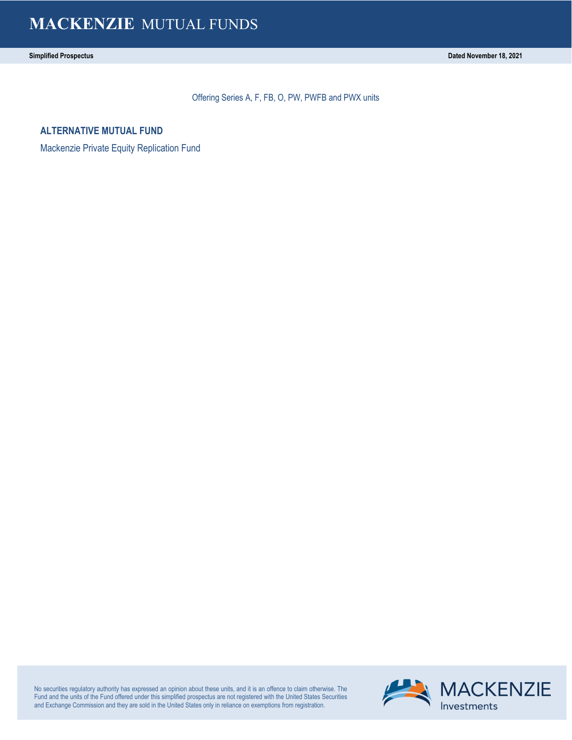Offering Series A, F, FB, O, PW, PWFB and PWX units

**ALTERNATIVE MUTUAL FUND**

Mackenzie Private Equity Replication Fund

No securities regulatory authority has expressed an opinion about these units, and it is an offence to claim otherwise. The Fund and the units of the Fund offered under this simplified prospectus are not registered with the United States Securities and Exchange Commission and they are sold in the United States only in reliance on exemptions from registration.

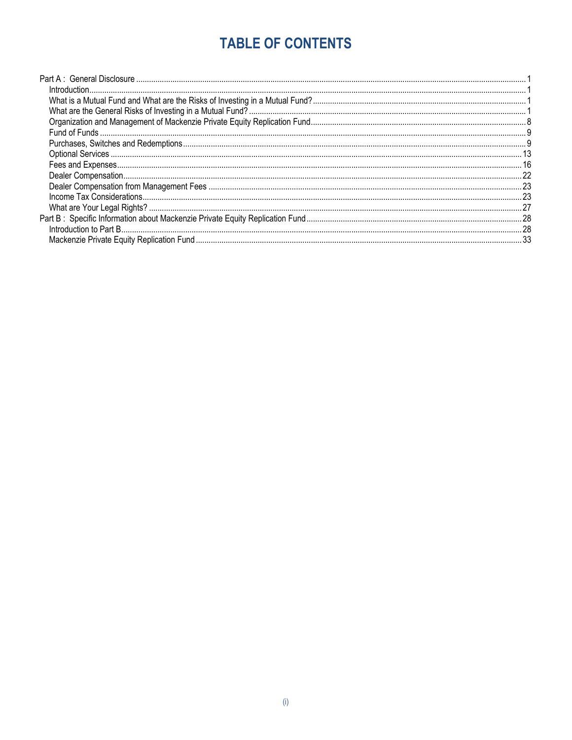# **TABLE OF CONTENTS**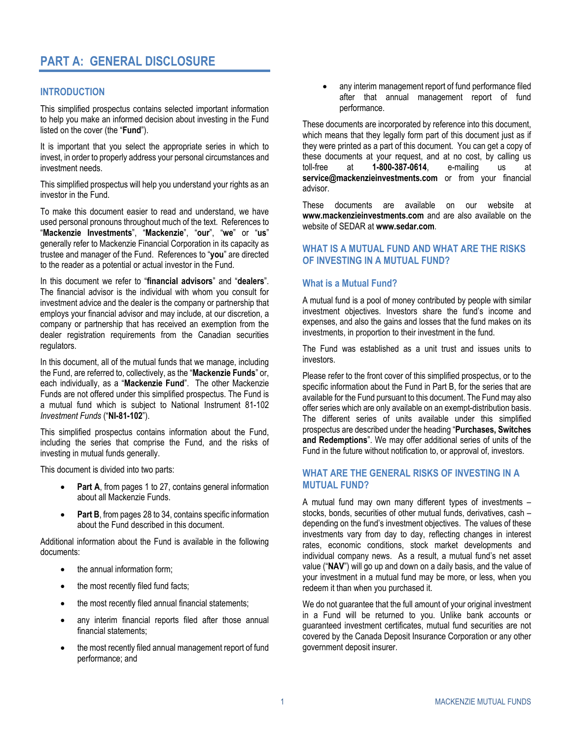# <span id="page-4-0"></span>**PART A: GENERAL DISCLOSURE**

### <span id="page-4-1"></span>**INTRODUCTION**

This simplified prospectus contains selected important information to help you make an informed decision about investing in the Fund listed on the cover (the "**Fund**").

It is important that you select the appropriate series in which to invest, in order to properly address your personal circumstances and investment needs.

This simplified prospectus will help you understand your rights as an investor in the Fund.

To make this document easier to read and understand, we have used personal pronouns throughout much of the text. References to "**Mackenzie Investments**", "**Mackenzie**", "**our**", "**we**" or "**us**" generally refer to Mackenzie Financial Corporation in its capacity as trustee and manager of the Fund. References to "**you**" are directed to the reader as a potential or actual investor in the Fund.

In this document we refer to "**financial advisors**" and "**dealers**". The financial advisor is the individual with whom you consult for investment advice and the dealer is the company or partnership that employs your financial advisor and may include, at our discretion, a company or partnership that has received an exemption from the dealer registration requirements from the Canadian securities regulators.

In this document, all of the mutual funds that we manage, including the Fund, are referred to, collectively, as the "**Mackenzie Funds**" or, each individually, as a "**Mackenzie Fund**". The other Mackenzie Funds are not offered under this simplified prospectus. The Fund is a mutual fund which is subject to National Instrument 81-102 *Investment Funds* ("**NI-81-102**").

This simplified prospectus contains information about the Fund, including the series that comprise the Fund, and the risks of investing in mutual funds generally.

This document is divided into two parts:

- [Part A](#page-4-0), from pages [1 t](#page-4-1)o [27,](#page-30-1) contains general information about all Mackenzie Funds.
- [Part B](#page-31-0), from pages [28](#page-31-2) t[o 34,](#page-37-0) contains specific information about the Fund described in this document.

Additional information about the Fund is available in the following documents:

- the annual information form;
- the most recently filed fund facts;
- the most recently filed annual financial statements;
- any interim financial reports filed after those annual financial statements;
- the most recently filed annual management report of fund performance; and

any interim management report of fund performance filed after that annual management report of fund performance.

These documents are incorporated by reference into this document, which means that they legally form part of this document just as if they were printed as a part of this document. You can get a copy of these documents at your request, and at no cost, by calling us toll-free at **1-800-387-0614**, e-mailing us at **service@mackenzieinvestments.com** or from your financial advisor.

These documents are available on our website at **www.mackenzieinvestments.com** and are also available on the website of SEDAR at **www.sedar.com**.

### <span id="page-4-2"></span>**WHAT IS A MUTUAL FUND AND WHAT ARE THE RISKS OF INVESTING IN A MUTUAL FUND?**

### **What is a Mutual Fund?**

A mutual fund is a pool of money contributed by people with similar investment objectives. Investors share the fund's income and expenses, and also the gains and losses that the fund makes on its investments, in proportion to their investment in the fund.

The Fund was established as a unit trust and issues units to investors.

Please refer to the front cover of this simplified prospectus, or to the specific information about the Fund in Part B, for the series that are available for the Fund pursuant to this document. The Fund may also offer series which are only available on an exempt-distribution basis. The different series of units available under this simplified prospectus are described under the heading "**[Purchases, Switches](#page-12-1) [and Redemptions](#page-12-1)**". We may offer additional series of units of the Fund in the future without notification to, or approval of, investors.

### <span id="page-4-3"></span>**WHAT ARE THE GENERAL RISKS OF INVESTING IN A MUTUAL FUND?**

A mutual fund may own many different types of investments – stocks, bonds, securities of other mutual funds, derivatives, cash – depending on the fund's investment objectives. The values of these investments vary from day to day, reflecting changes in interest rates, economic conditions, stock market developments and individual company news. As a result, a mutual fund's net asset value ("**NAV**") will go up and down on a daily basis, and the value of your investment in a mutual fund may be more, or less, when you redeem it than when you purchased it.

We do not guarantee that the full amount of your original investment in a Fund will be returned to you. Unlike bank accounts or guaranteed investment certificates, mutual fund securities are not covered by the Canada Deposit Insurance Corporation or any other government deposit insurer.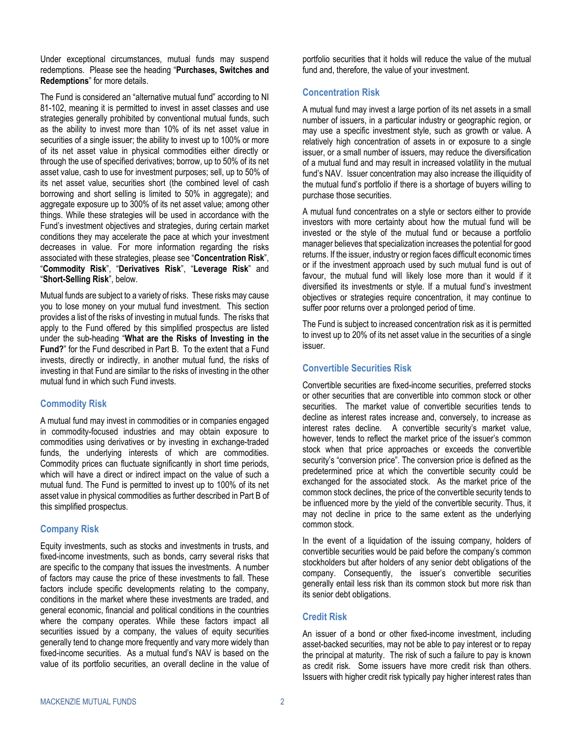Under exceptional circumstances, mutual funds may suspend redemptions. Please see the heading "**[Purchases, Switches](#page-12-1) and [Redemptions](#page-12-1)**" for more details.

The Fund is considered an "alternative mutual fund" according to NI 81-102, meaning it is permitted to invest in asset classes and use strategies generally prohibited by conventional mutual funds, such as the ability to invest more than 10% of its net asset value in securities of a single issuer; the ability to invest up to 100% or more of its net asset value in physical commodities either directly or through the use of specified derivatives; borrow, up to 50% of its net asset value, cash to use for investment purposes; sell, up to 50% of its net asset value, securities short (the combined level of cash borrowing and short selling is limited to 50% in aggregate); and aggregate exposure up to 300% of its net asset value; among other things. While these strategies will be used in accordance with the Fund's investment objectives and strategies, during certain market conditions they may accelerate the pace at which your investment decreases in value. For more information regarding the risks associated with these strategies, please see "**[Concentration Risk](#page-5-0)**", "**[Commodity Risk](#page-5-1)**", "**[Derivatives Risk](#page-6-0)**", "**[Leverage Risk](#page-9-0)**" and "**[Short-Selling Risk](#page-10-0)**", below.

Mutual funds are subject to a variety of risks. These risks may cause you to lose money on your mutual fund investment. This section provides a list of the risks of investing in mutual funds. The risks that apply to the Fund offered by this simplified prospectus are listed under the sub-heading "**[What are the Risks](#page-32-0) of Investing in the [Fund?](#page-32-0)**" for the Fund described i[n Part B.](#page-31-0) To the extent that a Fund invests, directly or indirectly, in another mutual fund, the risks of investing in that Fund are similar to the risks of investing in the other mutual fund in which such Fund invests.

### <span id="page-5-1"></span>**Commodity Risk**

A mutual fund may invest in commodities or in companies engaged in commodity-focused industries and may obtain exposure to commodities using derivatives or by investing in exchange-traded funds, the underlying interests of which are commodities. Commodity prices can fluctuate significantly in short time periods, which will have a direct or indirect impact on the value of such a mutual fund. The Fund is permitted to invest up to 100% of its net asset value in physical commodities as further described in Part B of this simplified prospectus.

### **Company Risk**

Equity investments, such as stocks and investments in trusts, and fixed-income investments, such as bonds, carry several risks that are specific to the company that issues the investments. A number of factors may cause the price of these investments to fall. These factors include specific developments relating to the company, conditions in the market where these investments are traded, and general economic, financial and political conditions in the countries where the company operates. While these factors impact all securities issued by a company, the values of equity securities generally tend to change more frequently and vary more widely than fixed-income securities. As a mutual fund's NAV is based on the value of its portfolio securities, an overall decline in the value of

portfolio securities that it holds will reduce the value of the mutual fund and, therefore, the value of your investment.

### <span id="page-5-0"></span>**Concentration Risk**

A mutual fund may invest a large portion of its net assets in a small number of issuers, in a particular industry or geographic region, or may use a specific investment style, such as growth or value. A relatively high concentration of assets in or exposure to a single issuer, or a small number of issuers, may reduce the diversification of a mutual fund and may result in increased volatility in the mutual fund's NAV. Issuer concentration may also increase the illiquidity of the mutual fund's portfolio if there is a shortage of buyers willing to purchase those securities.

A mutual fund concentrates on a style or sectors either to provide investors with more certainty about how the mutual fund will be invested or the style of the mutual fund or because a portfolio manager believes that specialization increases the potential for good returns. If the issuer, industry or region faces difficult economic times or if the investment approach used by such mutual fund is out of favour, the mutual fund will likely lose more than it would if it diversified its investments or style. If a mutual fund's investment objectives or strategies require concentration, it may continue to suffer poor returns over a prolonged period of time.

The Fund is subject to increased concentration risk as it is permitted to invest up to 20% of its net asset value in the securities of a single issuer.

### **Convertible Securities Risk**

Convertible securities are fixed-income securities, preferred stocks or other securities that are convertible into common stock or other securities. The market value of convertible securities tends to decline as interest rates increase and, conversely, to increase as interest rates decline. A convertible security's market value, however, tends to reflect the market price of the issuer's common stock when that price approaches or exceeds the convertible security's "conversion price". The conversion price is defined as the predetermined price at which the convertible security could be exchanged for the associated stock. As the market price of the common stock declines, the price of the convertible security tends to be influenced more by the yield of the convertible security. Thus, it may not decline in price to the same extent as the underlying common stock.

In the event of a liquidation of the issuing company, holders of convertible securities would be paid before the company's common stockholders but after holders of any senior debt obligations of the company. Consequently, the issuer's convertible securities generally entail less risk than its common stock but more risk than its senior debt obligations.

### **Credit Risk**

An issuer of a bond or other fixed-income investment, including asset-backed securities, may not be able to pay interest or to repay the principal at maturity. The risk of such a failure to pay is known as credit risk. Some issuers have more credit risk than others. Issuers with higher credit risk typically pay higher interest rates than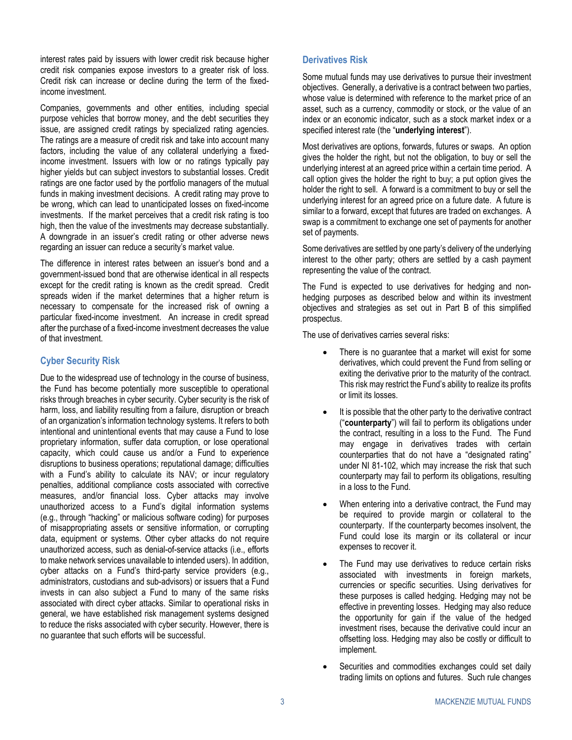interest rates paid by issuers with lower credit risk because higher credit risk companies expose investors to a greater risk of loss. Credit risk can increase or decline during the term of the fixedincome investment.

Companies, governments and other entities, including special purpose vehicles that borrow money, and the debt securities they issue, are assigned credit ratings by specialized rating agencies. The ratings are a measure of credit risk and take into account many factors, including the value of any collateral underlying a fixedincome investment. Issuers with low or no ratings typically pay higher yields but can subject investors to substantial losses. Credit ratings are one factor used by the portfolio managers of the mutual funds in making investment decisions. A credit rating may prove to be wrong, which can lead to unanticipated losses on fixed-income investments. If the market perceives that a credit risk rating is too high, then the value of the investments may decrease substantially. A downgrade in an issuer's credit rating or other adverse news regarding an issuer can reduce a security's market value.

The difference in interest rates between an issuer's bond and a government-issued bond that are otherwise identical in all respects except for the credit rating is known as the credit spread. Credit spreads widen if the market determines that a higher return is necessary to compensate for the increased risk of owning a particular fixed-income investment. An increase in credit spread after the purchase of a fixed-income investment decreases the value of that investment.

### **Cyber Security Risk**

Due to the widespread use of technology in the course of business, the Fund has become potentially more susceptible to operational risks through breaches in cyber security. Cyber security is the risk of harm, loss, and liability resulting from a failure, disruption or breach of an organization's information technology systems. It refers to both intentional and unintentional events that may cause a Fund to lose proprietary information, suffer data corruption, or lose operational capacity, which could cause us and/or a Fund to experience disruptions to business operations; reputational damage; difficulties with a Fund's ability to calculate its NAV; or incur regulatory penalties, additional compliance costs associated with corrective measures, and/or financial loss. Cyber attacks may involve unauthorized access to a Fund's digital information systems (e.g., through "hacking" or malicious software coding) for purposes of misappropriating assets or sensitive information, or corrupting data, equipment or systems. Other cyber attacks do not require unauthorized access, such as denial-of-service attacks (i.e., efforts to make network services unavailable to intended users). In addition, cyber attacks on a Fund's third-party service providers (e.g., administrators, custodians and sub-advisors) or issuers that a Fund invests in can also subject a Fund to many of the same risks associated with direct cyber attacks. Similar to operational risks in general, we have established risk management systems designed to reduce the risks associated with cyber security. However, there is no guarantee that such efforts will be successful.

### <span id="page-6-0"></span>**Derivatives Risk**

Some mutual funds may use derivatives to pursue their investment objectives. Generally, a derivative is a contract between two parties, whose value is determined with reference to the market price of an asset, such as a currency, commodity or stock, or the value of an index or an economic indicator, such as a stock market index or a specified interest rate (the "**underlying interest**").

Most derivatives are options, forwards, futures or swaps. An option gives the holder the right, but not the obligation, to buy or sell the underlying interest at an agreed price within a certain time period. A call option gives the holder the right to buy; a put option gives the holder the right to sell. A forward is a commitment to buy or sell the underlying interest for an agreed price on a future date. A future is similar to a forward, except that futures are traded on exchanges. A swap is a commitment to exchange one set of payments for another set of payments.

Some derivatives are settled by one party's delivery of the underlying interest to the other party; others are settled by a cash payment representing the value of the contract.

The Fund is expected to use derivatives for hedging and nonhedging purposes as described below and within its investment objectives and strategies as set out in Part B of this simplified prospectus.

The use of derivatives carries several risks:

- There is no guarantee that a market will exist for some derivatives, which could prevent the Fund from selling or exiting the derivative prior to the maturity of the contract. This risk may restrict the Fund's ability to realize its profits or limit its losses.
- It is possible that the other party to the derivative contract ("**counterparty**") will fail to perform its obligations under the contract, resulting in a loss to the Fund. The Fund may engage in derivatives trades with certain counterparties that do not have a "designated rating" under NI 81-102, which may increase the risk that such counterparty may fail to perform its obligations, resulting in a loss to the Fund.
- When entering into a derivative contract, the Fund may be required to provide margin or collateral to the counterparty. If the counterparty becomes insolvent, the Fund could lose its margin or its collateral or incur expenses to recover it.
- The Fund may use derivatives to reduce certain risks associated with investments in foreign markets, currencies or specific securities. Using derivatives for these purposes is called hedging. Hedging may not be effective in preventing losses. Hedging may also reduce the opportunity for gain if the value of the hedged investment rises, because the derivative could incur an offsetting loss. Hedging may also be costly or difficult to implement.
- Securities and commodities exchanges could set daily trading limits on options and futures. Such rule changes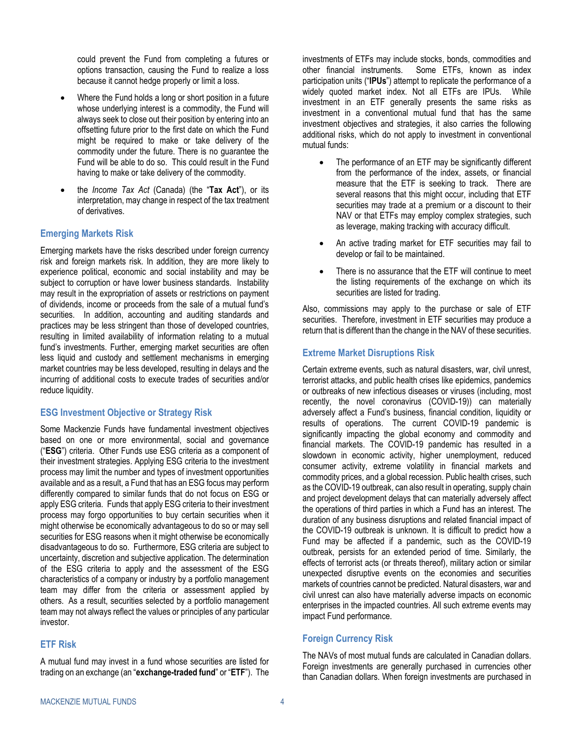could prevent the Fund from completing a futures or options transaction, causing the Fund to realize a loss because it cannot hedge properly or limit a loss.

- Where the Fund holds a long or short position in a future whose underlying interest is a commodity, the Fund will always seek to close out their position by entering into an offsetting future prior to the first date on which the Fund might be required to make or take delivery of the commodity under the future. There is no guarantee the Fund will be able to do so. This could result in the Fund having to make or take delivery of the commodity.
- the *Income Tax Act* (Canada) (the "**Tax Act**"), or its interpretation, may change in respect of the tax treatment of derivatives.

### **Emerging Markets Risk**

Emerging markets have the risks described under foreign currency risk and foreign markets risk. In addition, they are more likely to experience political, economic and social instability and may be subject to corruption or have lower business standards. Instability may result in the expropriation of assets or restrictions on payment of dividends, income or proceeds from the sale of a mutual fund's securities. In addition, accounting and auditing standards and practices may be less stringent than those of developed countries, resulting in limited availability of information relating to a mutual fund's investments. Further, emerging market securities are often less liquid and custody and settlement mechanisms in emerging market countries may be less developed, resulting in delays and the incurring of additional costs to execute trades of securities and/or reduce liquidity.

### **ESG Investment Objective or Strategy Risk**

Some Mackenzie Funds have fundamental investment objectives based on one or more environmental, social and governance ("**ESG**") criteria. Other Funds use ESG criteria as a component of their investment strategies. Applying ESG criteria to the investment process may limit the number and types of investment opportunities available and as a result, a Fund that has an ESG focus may perform differently compared to similar funds that do not focus on ESG or apply ESG criteria. Funds that apply ESG criteria to their investment process may forgo opportunities to buy certain securities when it might otherwise be economically advantageous to do so or may sell securities for ESG reasons when it might otherwise be economically disadvantageous to do so. Furthermore, ESG criteria are subject to uncertainty, discretion and subjective application. The determination of the ESG criteria to apply and the assessment of the ESG characteristics of a company or industry by a portfolio management team may differ from the criteria or assessment applied by others. As a result, securities selected by a portfolio management team may not always reflect the values or principles of any particular investor.

### **ETF Risk**

A mutual fund may invest in a fund whose securities are listed for trading on an exchange (an "**exchange-traded fund**" or "**ETF**"). The

investments of ETFs may include stocks, bonds, commodities and other financial instruments. Some ETFs, known as index participation units ("**IPUs**") attempt to replicate the performance of a widely quoted market index. Not all ETFs are IPUs. While investment in an ETF generally presents the same risks as investment in a conventional mutual fund that has the same investment objectives and strategies, it also carries the following additional risks, which do not apply to investment in conventional mutual funds:

- The performance of an ETF may be significantly different from the performance of the index, assets, or financial measure that the ETF is seeking to track. There are several reasons that this might occur, including that ETF securities may trade at a premium or a discount to their NAV or that ETFs may employ complex strategies, such as leverage, making tracking with accuracy difficult.
- An active trading market for ETF securities may fail to develop or fail to be maintained.
- There is no assurance that the ETF will continue to meet the listing requirements of the exchange on which its securities are listed for trading.

Also, commissions may apply to the purchase or sale of ETF securities. Therefore, investment in ETF securities may produce a return that is different than the change in the NAV of these securities.

### **Extreme Market Disruptions Risk**

Certain extreme events, such as natural disasters, war, civil unrest, terrorist attacks, and public health crises like epidemics, pandemics or outbreaks of new infectious diseases or viruses (including, most recently, the novel coronavirus (COVID-19)) can materially adversely affect a Fund's business, financial condition, liquidity or results of operations. The current COVID-19 pandemic is significantly impacting the global economy and commodity and financial markets. The COVID-19 pandemic has resulted in a slowdown in economic activity, higher unemployment, reduced consumer activity, extreme volatility in financial markets and commodity prices, and a global recession. Public health crises, such as the COVID-19 outbreak, can also result in operating, supply chain and project development delays that can materially adversely affect the operations of third parties in which a Fund has an interest. The duration of any business disruptions and related financial impact of the COVID-19 outbreak is unknown. It is difficult to predict how a Fund may be affected if a pandemic, such as the COVID-19 outbreak, persists for an extended period of time. Similarly, the effects of terrorist acts (or threats thereof), military action or similar unexpected disruptive events on the economies and securities markets of countries cannot be predicted. Natural disasters, war and civil unrest can also have materially adverse impacts on economic enterprises in the impacted countries. All such extreme events may impact Fund performance.

### **Foreign Currency Risk**

The NAVs of most mutual funds are calculated in Canadian dollars. Foreign investments are generally purchased in currencies other than Canadian dollars. When foreign investments are purchased in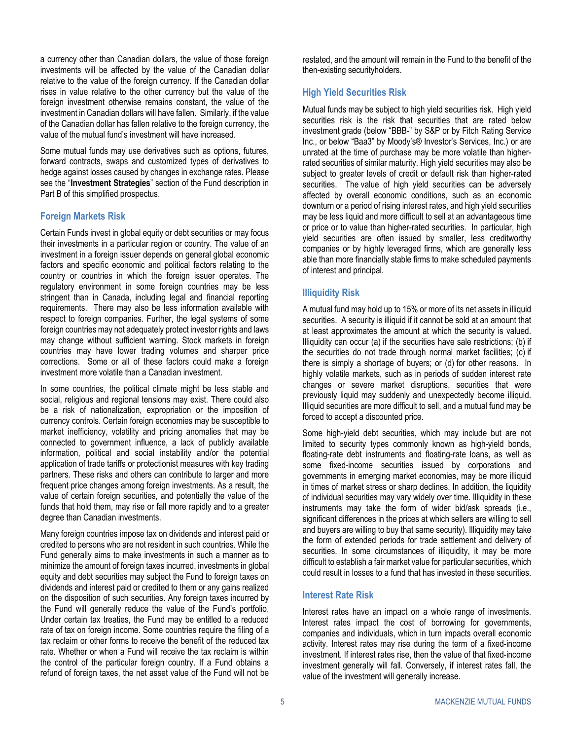a currency other than Canadian dollars, the value of those foreign investments will be affected by the value of the Canadian dollar relative to the value of the foreign currency. If the Canadian dollar rises in value relative to the other currency but the value of the foreign investment otherwise remains constant, the value of the investment in Canadian dollars will have fallen. Similarly, if the value of the Canadian dollar has fallen relative to the foreign currency, the value of the mutual fund's investment will have increased.

Some mutual funds may use derivatives such as options, futures, forward contracts, swaps and customized types of derivatives to hedge against losses caused by changes in exchange rates. Please see the "**Investment Strategies**" section of the Fund description in [Part B](#page-31-0) of this simplified prospectus.

### **Foreign Markets Risk**

Certain Funds invest in global equity or debt securities or may focus their investments in a particular region or country. The value of an investment in a foreign issuer depends on general global economic factors and specific economic and political factors relating to the country or countries in which the foreign issuer operates. The regulatory environment in some foreign countries may be less stringent than in Canada, including legal and financial reporting requirements. There may also be less information available with respect to foreign companies. Further, the legal systems of some foreign countries may not adequately protect investor rights and laws may change without sufficient warning. Stock markets in foreign countries may have lower trading volumes and sharper price corrections. Some or all of these factors could make a foreign investment more volatile than a Canadian investment.

In some countries, the political climate might be less stable and social, religious and regional tensions may exist. There could also be a risk of nationalization, expropriation or the imposition of currency controls. Certain foreign economies may be susceptible to market inefficiency, volatility and pricing anomalies that may be connected to government influence, a lack of publicly available information, political and social instability and/or the potential application of trade tariffs or protectionist measures with key trading partners. These risks and others can contribute to larger and more frequent price changes among foreign investments. As a result, the value of certain foreign securities, and potentially the value of the funds that hold them, may rise or fall more rapidly and to a greater degree than Canadian investments.

Many foreign countries impose tax on dividends and interest paid or credited to persons who are not resident in such countries. While the Fund generally aims to make investments in such a manner as to minimize the amount of foreign taxes incurred, investments in global equity and debt securities may subject the Fund to foreign taxes on dividends and interest paid or credited to them or any gains realized on the disposition of such securities. Any foreign taxes incurred by the Fund will generally reduce the value of the Fund's portfolio. Under certain tax treaties, the Fund may be entitled to a reduced rate of tax on foreign income. Some countries require the filing of a tax reclaim or other forms to receive the benefit of the reduced tax rate. Whether or when a Fund will receive the tax reclaim is within the control of the particular foreign country. If a Fund obtains a refund of foreign taxes, the net asset value of the Fund will not be restated, and the amount will remain in the Fund to the benefit of the then-existing securityholders.

### **High Yield Securities Risk**

Mutual funds may be subject to high yield securities risk. High yield securities risk is the risk that securities that are rated below investment grade (below "BBB-" by S&P or by Fitch Rating Service Inc., or below "Baa3" by Moody's® Investor's Services, Inc.) or are unrated at the time of purchase may be more volatile than higherrated securities of similar maturity. High yield securities may also be subject to greater levels of credit or default risk than higher-rated securities. The value of high yield securities can be adversely affected by overall economic conditions, such as an economic downturn or a period of rising interest rates, and high yield securities may be less liquid and more difficult to sell at an advantageous time or price or to value than higher-rated securities. In particular, high yield securities are often issued by smaller, less creditworthy companies or by highly leveraged firms, which are generally less able than more financially stable firms to make scheduled payments of interest and principal.

### **Illiquidity Risk**

A mutual fund may hold up to 15% or more of its net assets in illiquid securities. A security is illiquid if it cannot be sold at an amount that at least approximates the amount at which the security is valued. Illiquidity can occur (a) if the securities have sale restrictions; (b) if the securities do not trade through normal market facilities; (c) if there is simply a shortage of buyers; or (d) for other reasons. In highly volatile markets, such as in periods of sudden interest rate changes or severe market disruptions, securities that were previously liquid may suddenly and unexpectedly become illiquid. Illiquid securities are more difficult to sell, and a mutual fund may be forced to accept a discounted price.

Some high-yield debt securities, which may include but are not limited to security types commonly known as high-yield bonds, floating-rate debt instruments and floating-rate loans, as well as some fixed-income securities issued by corporations and governments in emerging market economies, may be more illiquid in times of market stress or sharp declines. In addition, the liquidity of individual securities may vary widely over time. Illiquidity in these instruments may take the form of wider bid/ask spreads (i.e., significant differences in the prices at which sellers are willing to sell and buyers are willing to buy that same security). Illiquidity may take the form of extended periods for trade settlement and delivery of securities. In some circumstances of illiquidity, it may be more difficult to establish a fair market value for particular securities, which could result in losses to a fund that has invested in these securities.

#### **Interest Rate Risk**

Interest rates have an impact on a whole range of investments. Interest rates impact the cost of borrowing for governments, companies and individuals, which in turn impacts overall economic activity. Interest rates may rise during the term of a fixed-income investment. If interest rates rise, then the value of that fixed-income investment generally will fall. Conversely, if interest rates fall, the value of the investment will generally increase.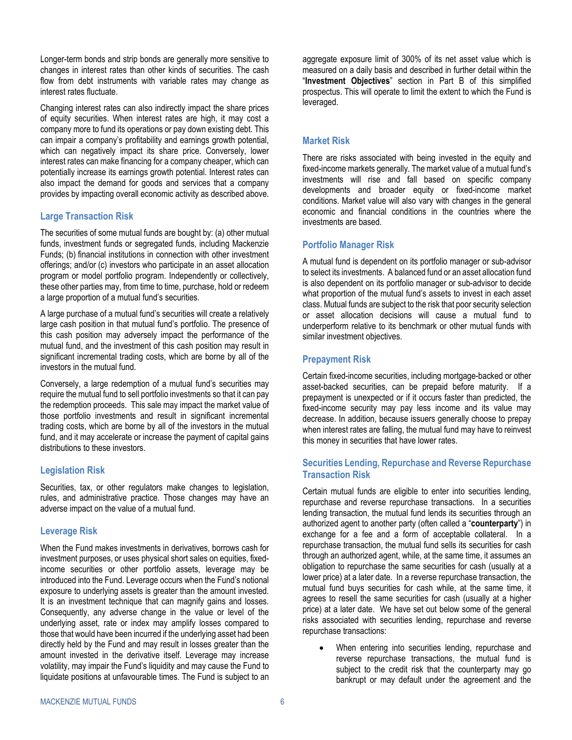Longer-term bonds and strip bonds are generally more sensitive to changes in interest rates than other kinds of securities. The cash flow from debt instruments with variable rates may change as interest rates fluctuate.

Changing interest rates can also indirectly impact the share prices of equity securities. When interest rates are high, it may cost a company more to fund its operations or pay down existing debt. This can impair a company's profitability and earnings growth potential, which can negatively impact its share price. Conversely, lower interest rates can make financing for a company cheaper, which can potentially increase its earnings growth potential. Interest rates can also impact the demand for goods and services that a company provides by impacting overall economic activity as described above.

### <span id="page-9-1"></span>**Large Transaction Risk**

The securities of some mutual funds are bought by: (a) other mutual funds, investment funds or segregated funds, including Mackenzie Funds; (b) financial institutions in connection with other investment offerings; and/or (c) investors who participate in an asset allocation program or model portfolio program. Independently or collectively, these other parties may, from time to time, purchase, hold or redeem a large proportion of a mutual fund's securities.

A large purchase of a mutual fund's securities will create a relatively large cash position in that mutual fund's portfolio. The presence of this cash position may adversely impact the performance of the mutual fund, and the investment of this cash position may result in significant incremental trading costs, which are borne by all of the investors in the mutual fund.

Conversely, a large redemption of a mutual fund's securities may require the mutual fund to sell portfolio investments so that it can pay the redemption proceeds. This sale may impact the market value of those portfolio investments and result in significant incremental trading costs, which are borne by all of the investors in the mutual fund, and it may accelerate or increase the payment of capital gains distributions to these investors.

### **Legislation Risk**

Securities, tax, or other regulators make changes to legislation, rules, and administrative practice. Those changes may have an adverse impact on the value of a mutual fund.

### <span id="page-9-0"></span>**Leverage Risk**

When the Fund makes investments in derivatives, borrows cash for investment purposes, or uses physical short sales on equities, fixedincome securities or other portfolio assets, leverage may be introduced into the Fund. Leverage occurs when the Fund's notional exposure to underlying assets is greater than the amount invested. It is an investment technique that can magnify gains and losses. Consequently, any adverse change in the value or level of the underlying asset, rate or index may amplify losses compared to those that would have been incurred if the underlying asset had been directly held by the Fund and may result in losses greater than the amount invested in the derivative itself. Leverage may increase volatility, may impair the Fund's liquidity and may cause the Fund to liquidate positions at unfavourable times. The Fund is subject to an

aggregate exposure limit of 300% of its net asset value which is measured on a daily basis and described in further detail within the "**Investment Objectives**" section in [Part B](#page-31-0) of this simplified prospectus. This will operate to limit the extent to which the Fund is leveraged.

### **Market Risk**

There are risks associated with being invested in the equity and fixed-income markets generally. The market value of a mutual fund's investments will rise and fall based on specific company developments and broader equity or fixed-income market conditions. Market value will also vary with changes in the general economic and financial conditions in the countries where the investments are based.

### **Portfolio Manager Risk**

A mutual fund is dependent on its portfolio manager or sub-advisor to select its investments. A balanced fund or an asset allocation fund is also dependent on its portfolio manager or sub-advisor to decide what proportion of the mutual fund's assets to invest in each asset class. Mutual funds are subject to the risk that poor security selection or asset allocation decisions will cause a mutual fund to underperform relative to its benchmark or other mutual funds with similar investment objectives.

### **Prepayment Risk**

Certain fixed-income securities, including mortgage-backed or other asset-backed securities, can be prepaid before maturity. If a prepayment is unexpected or if it occurs faster than predicted, the fixed-income security may pay less income and its value may decrease. In addition, because issuers generally choose to prepay when interest rates are falling, the mutual fund may have to reinvest this money in securities that have lower rates.

### **Securities Lending, Repurchase and Reverse Repurchase Transaction Risk**

Certain mutual funds are eligible to enter into securities lending, repurchase and reverse repurchase transactions. In a securities lending transaction, the mutual fund lends its securities through an authorized agent to another party (often called a "**counterparty**") in exchange for a fee and a form of acceptable collateral. In a repurchase transaction, the mutual fund sells its securities for cash through an authorized agent, while, at the same time, it assumes an obligation to repurchase the same securities for cash (usually at a lower price) at a later date. In a reverse repurchase transaction, the mutual fund buys securities for cash while, at the same time, it agrees to resell the same securities for cash (usually at a higher price) at a later date. We have set out below some of the general risks associated with securities lending, repurchase and reverse repurchase transactions:

When entering into securities lending, repurchase and reverse repurchase transactions, the mutual fund is subject to the credit risk that the counterparty may go bankrupt or may default under the agreement and the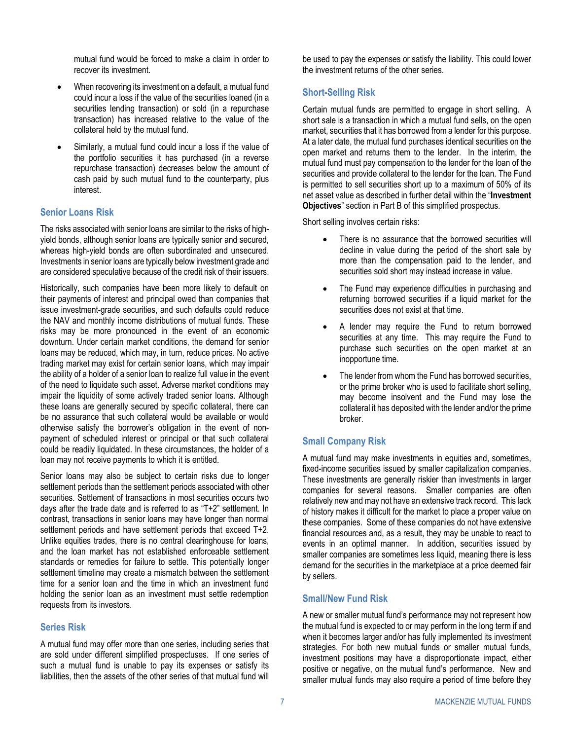mutual fund would be forced to make a claim in order to recover its investment.

- When recovering its investment on a default, a mutual fund could incur a loss if the value of the securities loaned (in a securities lending transaction) or sold (in a repurchase transaction) has increased relative to the value of the collateral held by the mutual fund.
- Similarly, a mutual fund could incur a loss if the value of the portfolio securities it has purchased (in a reverse repurchase transaction) decreases below the amount of cash paid by such mutual fund to the counterparty, plus interest.

### **Senior Loans Risk**

The risks associated with senior loans are similar to the risks of highyield bonds, although senior loans are typically senior and secured, whereas high-yield bonds are often subordinated and unsecured. Investments in senior loans are typically below investment grade and are considered speculative because of the credit risk of their issuers.

Historically, such companies have been more likely to default on their payments of interest and principal owed than companies that issue investment-grade securities, and such defaults could reduce the NAV and monthly income distributions of mutual funds. These risks may be more pronounced in the event of an economic downturn. Under certain market conditions, the demand for senior loans may be reduced, which may, in turn, reduce prices. No active trading market may exist for certain senior loans, which may impair the ability of a holder of a senior loan to realize full value in the event of the need to liquidate such asset. Adverse market conditions may impair the liquidity of some actively traded senior loans. Although these loans are generally secured by specific collateral, there can be no assurance that such collateral would be available or would otherwise satisfy the borrower's obligation in the event of nonpayment of scheduled interest or principal or that such collateral could be readily liquidated. In these circumstances, the holder of a loan may not receive payments to which it is entitled.

Senior loans may also be subject to certain risks due to longer settlement periods than the settlement periods associated with other securities. Settlement of transactions in most securities occurs two days after the trade date and is referred to as "T+2" settlement. In contrast, transactions in senior loans may have longer than normal settlement periods and have settlement periods that exceed T+2. Unlike equities trades, there is no central clearinghouse for loans, and the loan market has not established enforceable settlement standards or remedies for failure to settle. This potentially longer settlement timeline may create a mismatch between the settlement time for a senior loan and the time in which an investment fund holding the senior loan as an investment must settle redemption requests from its investors.

### **Series Risk**

A mutual fund may offer more than one series, including series that are sold under different simplified prospectuses. If one series of such a mutual fund is unable to pay its expenses or satisfy its liabilities, then the assets of the other series of that mutual fund will

be used to pay the expenses or satisfy the liability. This could lower the investment returns of the other series.

### <span id="page-10-0"></span>**Short-Selling Risk**

Certain mutual funds are permitted to engage in short selling. A short sale is a transaction in which a mutual fund sells, on the open market, securities that it has borrowed from a lender for this purpose. At a later date, the mutual fund purchases identical securities on the open market and returns them to the lender. In the interim, the mutual fund must pay compensation to the lender for the loan of the securities and provide collateral to the lender for the loan. The Fund is permitted to sell securities short up to a maximum of 50% of its net asset value as described in further detail within the "**Investment Objectives**" section i[n Part B](#page-31-0) of this simplified prospectus.

Short selling involves certain risks:

- There is no assurance that the borrowed securities will decline in value during the period of the short sale by more than the compensation paid to the lender, and securities sold short may instead increase in value.
- The Fund may experience difficulties in purchasing and returning borrowed securities if a liquid market for the securities does not exist at that time.
- A lender may require the Fund to return borrowed securities at any time. This may require the Fund to purchase such securities on the open market at an inopportune time.
- The lender from whom the Fund has borrowed securities, or the prime broker who is used to facilitate short selling, may become insolvent and the Fund may lose the collateral it has deposited with the lender and/or the prime broker.

### **Small Company Risk**

A mutual fund may make investments in equities and, sometimes, fixed-income securities issued by smaller capitalization companies. These investments are generally riskier than investments in larger companies for several reasons. Smaller companies are often relatively new and may not have an extensive track record. This lack of history makes it difficult for the market to place a proper value on these companies. Some of these companies do not have extensive financial resources and, as a result, they may be unable to react to events in an optimal manner. In addition, securities issued by smaller companies are sometimes less liquid, meaning there is less demand for the securities in the marketplace at a price deemed fair by sellers.

### **Small/New Fund Risk**

A new or smaller mutual fund's performance may not represent how the mutual fund is expected to or may perform in the long term if and when it becomes larger and/or has fully implemented its investment strategies. For both new mutual funds or smaller mutual funds, investment positions may have a disproportionate impact, either positive or negative, on the mutual fund's performance. New and smaller mutual funds may also require a period of time before they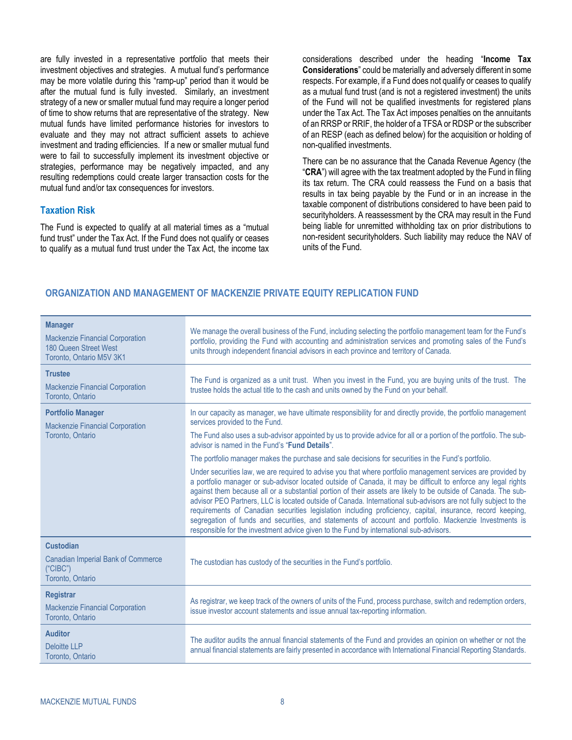are fully invested in a representative portfolio that meets their investment objectives and strategies. A mutual fund's performance may be more volatile during this "ramp-up" period than it would be after the mutual fund is fully invested. Similarly, an investment strategy of a new or smaller mutual fund may require a longer period of time to show returns that are representative of the strategy. New mutual funds have limited performance histories for investors to evaluate and they may not attract sufficient assets to achieve investment and trading efficiencies. If a new or smaller mutual fund were to fail to successfully implement its investment objective or strategies, performance may be negatively impacted, and any resulting redemptions could create larger transaction costs for the mutual fund and/or tax consequences for investors.

#### **Taxation Risk**

The Fund is expected to qualify at all material times as a "mutual fund trust" under the Tax Act. If the Fund does not qualify or ceases to qualify as a mutual fund trust under the Tax Act, the income tax considerations described under the heading "**[Income Tax](#page-26-1) [Considerations](#page-26-1)**" could be materially and adversely different in some respects. For example, if a Fund does not qualify or ceases to qualify as a mutual fund trust (and is not a registered investment) the units of the Fund will not be qualified investments for registered plans under the Tax Act. The Tax Act imposes penalties on the annuitants of an RRSP or RRIF, the holder of a TFSA or RDSP or the subscriber of an RESP (each as defined below) for the acquisition or holding of non-qualified investments.

There can be no assurance that the Canada Revenue Agency (the "**CRA**") will agree with the tax treatment adopted by the Fund in filing its tax return. The CRA could reassess the Fund on a basis that results in tax being payable by the Fund or in an increase in the taxable component of distributions considered to have been paid to securityholders. A reassessment by the CRA may result in the Fund being liable for unremitted withholding tax on prior distributions to non-resident securityholders. Such liability may reduce the NAV of units of the Fund.

### <span id="page-11-0"></span>**ORGANIZATION AND MANAGEMENT OF MACKENZIE PRIVATE EQUITY REPLICATION FUND**

| <b>Manager</b><br><b>Mackenzie Financial Corporation</b><br>180 Queen Street West<br>Toronto, Ontario M5V 3K1 | We manage the overall business of the Fund, including selecting the portfolio management team for the Fund's<br>portfolio, providing the Fund with accounting and administration services and promoting sales of the Fund's<br>units through independent financial advisors in each province and territory of Canada.                                                                                                                                                                                                                                                                                                                                                                                                                                                                                                                                                                       |
|---------------------------------------------------------------------------------------------------------------|---------------------------------------------------------------------------------------------------------------------------------------------------------------------------------------------------------------------------------------------------------------------------------------------------------------------------------------------------------------------------------------------------------------------------------------------------------------------------------------------------------------------------------------------------------------------------------------------------------------------------------------------------------------------------------------------------------------------------------------------------------------------------------------------------------------------------------------------------------------------------------------------|
| <b>Trustee</b><br><b>Mackenzie Financial Corporation</b><br>Toronto, Ontario                                  | The Fund is organized as a unit trust. When you invest in the Fund, you are buying units of the trust. The<br>trustee holds the actual title to the cash and units owned by the Fund on your behalf.                                                                                                                                                                                                                                                                                                                                                                                                                                                                                                                                                                                                                                                                                        |
| <b>Portfolio Manager</b><br><b>Mackenzie Financial Corporation</b><br>Toronto, Ontario                        | In our capacity as manager, we have ultimate responsibility for and directly provide, the portfolio management<br>services provided to the Fund.<br>The Fund also uses a sub-advisor appointed by us to provide advice for all or a portion of the portfolio. The sub-<br>advisor is named in the Fund's "Fund Details".                                                                                                                                                                                                                                                                                                                                                                                                                                                                                                                                                                    |
|                                                                                                               | The portfolio manager makes the purchase and sale decisions for securities in the Fund's portfolio.<br>Under securities law, we are required to advise you that where portfolio management services are provided by<br>a portfolio manager or sub-advisor located outside of Canada, it may be difficult to enforce any legal rights<br>against them because all or a substantial portion of their assets are likely to be outside of Canada. The sub-<br>advisor PEO Partners, LLC is located outside of Canada. International sub-advisors are not fully subject to the<br>requirements of Canadian securities legislation including proficiency, capital, insurance, record keeping,<br>segregation of funds and securities, and statements of account and portfolio. Mackenzie Investments is<br>responsible for the investment advice given to the Fund by international sub-advisors. |
| <b>Custodian</b><br><b>Canadian Imperial Bank of Commerce</b><br>("CIBC")<br>Toronto, Ontario                 | The custodian has custody of the securities in the Fund's portfolio.                                                                                                                                                                                                                                                                                                                                                                                                                                                                                                                                                                                                                                                                                                                                                                                                                        |
| <b>Registrar</b><br><b>Mackenzie Financial Corporation</b><br>Toronto, Ontario                                | As registrar, we keep track of the owners of units of the Fund, process purchase, switch and redemption orders,<br>issue investor account statements and issue annual tax-reporting information.                                                                                                                                                                                                                                                                                                                                                                                                                                                                                                                                                                                                                                                                                            |
| <b>Auditor</b><br><b>Deloitte LLP</b><br>Toronto, Ontario                                                     | The auditor audits the annual financial statements of the Fund and provides an opinion on whether or not the<br>annual financial statements are fairly presented in accordance with International Financial Reporting Standards.                                                                                                                                                                                                                                                                                                                                                                                                                                                                                                                                                                                                                                                            |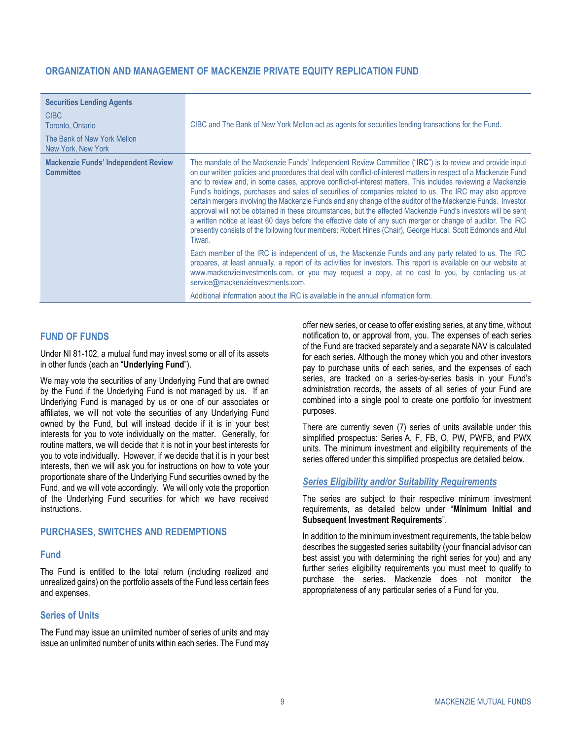### **ORGANIZATION AND MANAGEMENT OF MACKENZIE PRIVATE EQUITY REPLICATION FUND**

| <b>Securities Lending Agents</b><br><b>CIBC</b><br>Toronto, Ontario<br>The Bank of New York Mellon<br>New York, New York | CIBC and The Bank of New York Mellon act as agents for securities lending transactions for the Fund.                                                                                                                                                                                                                                                                                                                                                                                                                                                                                                                                                                                                                                                                                                                                                                                                                                |
|--------------------------------------------------------------------------------------------------------------------------|-------------------------------------------------------------------------------------------------------------------------------------------------------------------------------------------------------------------------------------------------------------------------------------------------------------------------------------------------------------------------------------------------------------------------------------------------------------------------------------------------------------------------------------------------------------------------------------------------------------------------------------------------------------------------------------------------------------------------------------------------------------------------------------------------------------------------------------------------------------------------------------------------------------------------------------|
| <b>Mackenzie Funds' Independent Review</b><br><b>Committee</b>                                                           | The mandate of the Mackenzie Funds' Independent Review Committee ("IRC") is to review and provide input<br>on our written policies and procedures that deal with conflict-of-interest matters in respect of a Mackenzie Fund<br>and to review and, in some cases, approve conflict-of-interest matters. This includes reviewing a Mackenzie<br>Fund's holdings, purchases and sales of securities of companies related to us. The IRC may also approve<br>certain mergers involving the Mackenzie Funds and any change of the auditor of the Mackenzie Funds. Investor<br>approval will not be obtained in these circumstances, but the affected Mackenzie Fund's investors will be sent<br>a written notice at least 60 days before the effective date of any such merger or change of auditor. The IRC<br>presently consists of the following four members: Robert Hines (Chair), George Hucal, Scott Edmonds and Atul<br>Tiwari. |
|                                                                                                                          | Each member of the IRC is independent of us, the Mackenzie Funds and any party related to us. The IRC<br>prepares, at least annually, a report of its activities for investors. This report is available on our website at<br>www.mackenzieinvestments.com, or you may request a copy, at no cost to you, by contacting us at<br>service@mackenzieinvestments.com.<br>Additional information about the IRC is available in the annual information form.                                                                                                                                                                                                                                                                                                                                                                                                                                                                             |

### <span id="page-12-0"></span>**FUND OF FUNDS**

Under NI 81-102, a mutual fund may invest some or all of its assets in other funds (each an "**Underlying Fund**").

We may vote the securities of any Underlying Fund that are owned by the Fund if the Underlying Fund is not managed by us. If an Underlying Fund is managed by us or one of our associates or affiliates, we will not vote the securities of any Underlying Fund owned by the Fund, but will instead decide if it is in your best interests for you to vote individually on the matter. Generally, for routine matters, we will decide that it is not in your best interests for you to vote individually. However, if we decide that it is in your best interests, then we will ask you for instructions on how to vote your proportionate share of the Underlying Fund securities owned by the Fund, and we will vote accordingly. We will only vote the proportion of the Underlying Fund securities for which we have received instructions.

### <span id="page-12-1"></span>**PURCHASES, SWITCHES AND REDEMPTIONS**

#### **Fund**

The Fund is entitled to the total return (including realized and unrealized gains) on the portfolio assets of the Fund less certain fees and expenses.

#### **Series of Units**

The Fund may issue an unlimited number of series of units and may issue an unlimited number of units within each series. The Fund may offer new series, or cease to offer existing series, at any time, without notification to, or approval from, you. The expenses of each series of the Fund are tracked separately and a separate NAV is calculated for each series. Although the money which you and other investors pay to purchase units of each series, and the expenses of each series, are tracked on a series-by-series basis in your Fund's administration records, the assets of all series of your Fund are combined into a single pool to create one portfolio for investment purposes.

There are currently seven (7) series of units available under this simplified prospectus: Series A, F, FB, O, PW, PWFB, and PWX units. The minimum investment and eligibility requirements of the series offered under this simplified prospectus are detailed below.

#### *Series Eligibility and/or Suitability Requirements*

The series are subject to their respective minimum investment requirements, as detailed below under "**[Minimum Initial and](#page-13-0)  [Subsequent Investment Requirements](#page-13-0)**".

In addition to the minimum investment requirements, the table below describes the suggested series suitability (your financial advisor can best assist you with determining the right series for you) and any further series eligibility requirements you must meet to qualify to purchase the series. Mackenzie does not monitor the appropriateness of any particular series of a Fund for you.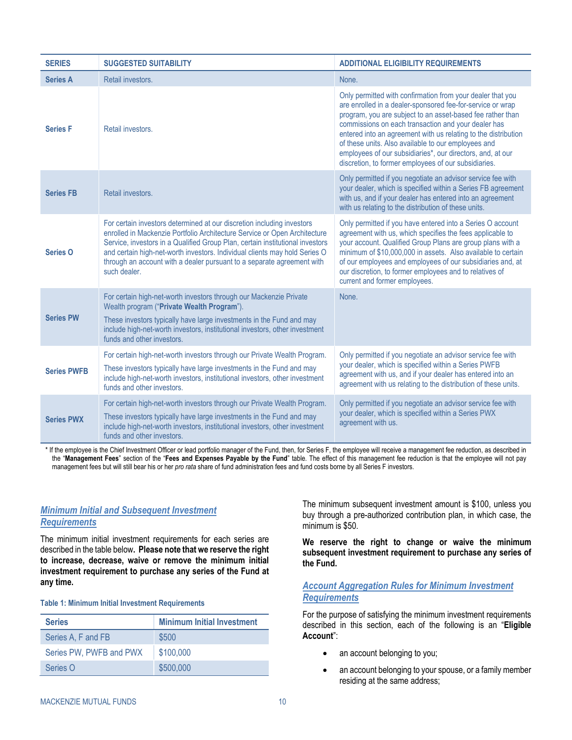| <b>SERIES</b>      | <b>SUGGESTED SUITABILITY</b>                                                                                                                                                                                                                                                                                                                                                                                 | <b>ADDITIONAL ELIGIBILITY REQUIREMENTS</b>                                                                                                                                                                                                                                                                                                                                                                                                                                                   |
|--------------------|--------------------------------------------------------------------------------------------------------------------------------------------------------------------------------------------------------------------------------------------------------------------------------------------------------------------------------------------------------------------------------------------------------------|----------------------------------------------------------------------------------------------------------------------------------------------------------------------------------------------------------------------------------------------------------------------------------------------------------------------------------------------------------------------------------------------------------------------------------------------------------------------------------------------|
| <b>Series A</b>    | Retail investors.                                                                                                                                                                                                                                                                                                                                                                                            | None.                                                                                                                                                                                                                                                                                                                                                                                                                                                                                        |
| <b>Series F</b>    | Retail investors.                                                                                                                                                                                                                                                                                                                                                                                            | Only permitted with confirmation from your dealer that you<br>are enrolled in a dealer-sponsored fee-for-service or wrap<br>program, you are subject to an asset-based fee rather than<br>commissions on each transaction and your dealer has<br>entered into an agreement with us relating to the distribution<br>of these units. Also available to our employees and<br>employees of our subsidiaries*, our directors, and, at our<br>discretion, to former employees of our subsidiaries. |
| <b>Series FB</b>   | Retail investors.                                                                                                                                                                                                                                                                                                                                                                                            | Only permitted if you negotiate an advisor service fee with<br>your dealer, which is specified within a Series FB agreement<br>with us, and if your dealer has entered into an agreement<br>with us relating to the distribution of these units.                                                                                                                                                                                                                                             |
| <b>Series O</b>    | For certain investors determined at our discretion including investors<br>enrolled in Mackenzie Portfolio Architecture Service or Open Architecture<br>Service, investors in a Qualified Group Plan, certain institutional investors<br>and certain high-net-worth investors. Individual clients may hold Series O<br>through an account with a dealer pursuant to a separate agreement with<br>such dealer. | Only permitted if you have entered into a Series O account<br>agreement with us, which specifies the fees applicable to<br>your account. Qualified Group Plans are group plans with a<br>minimum of \$10,000,000 in assets. Also available to certain<br>of our employees and employees of our subsidiaries and, at<br>our discretion, to former employees and to relatives of<br>current and former employees.                                                                              |
| <b>Series PW</b>   | For certain high-net-worth investors through our Mackenzie Private<br>Wealth program ("Private Wealth Program").<br>These investors typically have large investments in the Fund and may<br>include high-net-worth investors, institutional investors, other investment<br>funds and other investors.                                                                                                        | None.                                                                                                                                                                                                                                                                                                                                                                                                                                                                                        |
| <b>Series PWFB</b> | For certain high-net-worth investors through our Private Wealth Program.<br>These investors typically have large investments in the Fund and may<br>include high-net-worth investors, institutional investors, other investment<br>funds and other investors.                                                                                                                                                | Only permitted if you negotiate an advisor service fee with<br>your dealer, which is specified within a Series PWFB<br>agreement with us, and if your dealer has entered into an<br>agreement with us relating to the distribution of these units.                                                                                                                                                                                                                                           |
| <b>Series PWX</b>  | For certain high-net-worth investors through our Private Wealth Program.<br>These investors typically have large investments in the Fund and may<br>include high-net-worth investors, institutional investors, other investment<br>funds and other investors.                                                                                                                                                | Only permitted if you negotiate an advisor service fee with<br>your dealer, which is specified within a Series PWX<br>agreement with us.                                                                                                                                                                                                                                                                                                                                                     |

\* If the employee is the Chief Investment Officer or lead portfolio manager of the Fund, then, for Series F, the employee will receive a management fee reduction, as described in the "**Management Fees**" section of the "**[Fees and Expenses](#page-21-0) Payable by the Fund**" table. The effect of this management fee reduction is that the employee will not pay management fees but will still bear his or her *pro rata* share of fund administration fees and fund costs borne by all Series F investors.

### <span id="page-13-0"></span>*Minimum Initial and Subsequent Investment Requirements*

The minimum initial investment requirements for each series are described in the table below**. Please note that we reserve the right to increase, decrease, waive or remove the minimum initial investment requirement to purchase any series of the Fund at any time.**

#### **Table 1: Minimum Initial Investment Requirements**

| <b>Series</b>           | <b>Minimum Initial Investment</b> |
|-------------------------|-----------------------------------|
| Series A, F and FB      | \$500                             |
| Series PW, PWFB and PWX | \$100,000                         |
| Series O                | \$500,000                         |

The minimum subsequent investment amount is \$100, unless you buy through a pre-authorized contribution plan, in which case, the minimum is \$50.

**We reserve the right to change or waive the minimum subsequent investment requirement to purchase any series of the Fund.** 

### *Account Aggregation Rules for Minimum Investment Requirements*

For the purpose of satisfying the minimum investment requirements described in this section, each of the following is an "**Eligible Account**":

- an account belonging to you;
- an account belonging to your spouse, or a family member residing at the same address;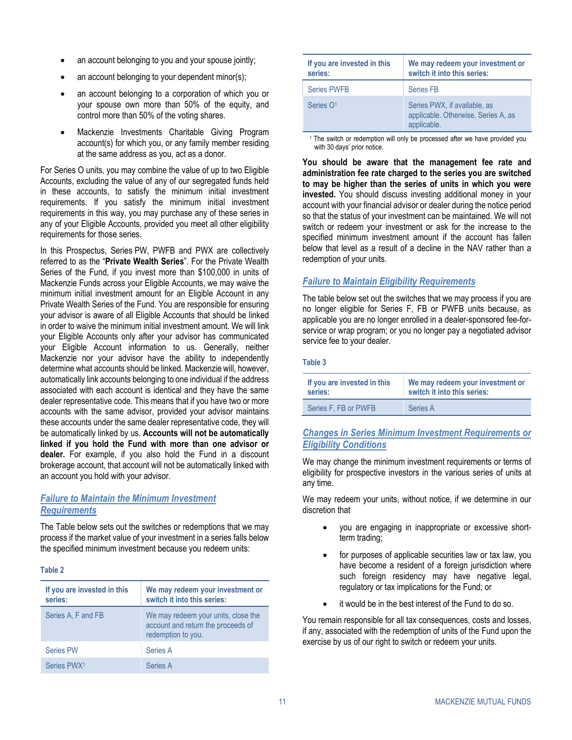- an account belonging to you and your spouse jointly;
- an account belonging to your dependent minor(s);
- an account belonging to a corporation of which you or your spouse own more than 50% of the equity, and control more than 50% of the voting shares.
- Mackenzie Investments Charitable Giving Program account(s) for which you, or any family member residing at the same address as you, act as a donor.

For Series O units, you may combine the value of up to two Eligible Accounts, excluding the value of any of our segregated funds held in these accounts, to satisfy the minimum initial investment requirements. If you satisfy the minimum initial investment requirements in this way, you may purchase any of these series in any of your Eligible Accounts, provided you meet all other eligibility requirements for those series.

In this Prospectus, Series PW, PWFB and PWX are collectively referred to as the "**Private Wealth Series**". For the Private Wealth Series of the Fund, if you invest more than \$100,000 in units of Mackenzie Funds across your Eligible Accounts, we may waive the minimum initial investment amount for an Eligible Account in any Private Wealth Series of the Fund. You are responsible for ensuring your advisor is aware of all Eligible Accounts that should be linked in order to waive the minimum initial investment amount. We will link your Eligible Accounts only after your advisor has communicated your Eligible Account information to us. Generally, neither Mackenzie nor your advisor have the ability to independently determine what accounts should be linked. Mackenzie will, however, automatically link accounts belonging to one individual if the address associated with each account is identical and they have the same dealer representative code. This means that if you have two or more accounts with the same advisor, provided your advisor maintains these accounts under the same dealer representative code, they will be automatically linked by us. **Accounts will not be automatically linked if you hold the Fund with more than one advisor or dealer.** For example, if you also hold the Fund in a discount brokerage account, that account will not be automatically linked with an account you hold with your advisor.

### *Failure to Maintain the Minimum Investment Requirements*

The Table below sets out the switches or redemptions that we may process if the market value of your investment in a series falls below the specified minimum investment because you redeem units:

#### **Table 2**

| If you are invested in this<br>series: | We may redeem your investment or<br>switch it into this series:                                 |
|----------------------------------------|-------------------------------------------------------------------------------------------------|
| Series A, F and FB                     | We may redeem your units, close the<br>account and return the proceeds of<br>redemption to you. |
| <b>Series PW</b>                       | Series A                                                                                        |
| Series PWX <sup>1</sup>                | Series A                                                                                        |

| If you are invested in this<br>series: | We may redeem your investment or<br>switch it into this series:                    |
|----------------------------------------|------------------------------------------------------------------------------------|
| <b>Series PWFB</b>                     | <b>Series FB</b>                                                                   |
| Series O <sub>1</sub>                  | Series PWX, if available, as<br>applicable. Otherwise, Series A, as<br>applicable. |

<sup>1</sup> The switch or redemption will only be processed after we have provided you with 30 days' prior notice.

**You should be aware that the management fee rate and administration fee rate charged to the series you are switched to may be higher than the series of units in which you were invested.** You should discuss investing additional money in your account with your financial advisor or dealer during the notice period so that the status of your investment can be maintained. We will not switch or redeem your investment or ask for the increase to the specified minimum investment amount if the account has fallen below that level as a result of a decline in the NAV rather than a redemption of your units.

### *Failure to Maintain Eligibility Requirements*

The table below set out the switches that we may process if you are no longer eligible for Series F, FB or PWFB units because, as applicable you are no longer enrolled in a dealer-sponsored fee-forservice or wrap program; or you no longer pay a negotiated advisor service fee to your dealer.

#### **Table 3**

| If you are invested in this | We may redeem your investment or |
|-----------------------------|----------------------------------|
| series:                     | switch it into this series:      |
| Series F. FB or PWFB        | Series A                         |

### *Changes in Series Minimum Investment Requirements or Eligibility Conditions*

We may change the minimum investment requirements or terms of eligibility for prospective investors in the various series of units at any time.

We may redeem your units, without notice, if we determine in our discretion that

- you are engaging in inappropriate or excessive shortterm trading;
- for purposes of applicable securities law or tax law, you have become a resident of a foreign jurisdiction where such foreign residency may have negative legal, regulatory or tax implications for the Fund; or
- it would be in the best interest of the Fund to do so.

You remain responsible for all tax consequences, costs and losses, if any, associated with the redemption of units of the Fund upon the exercise by us of our right to switch or redeem your units.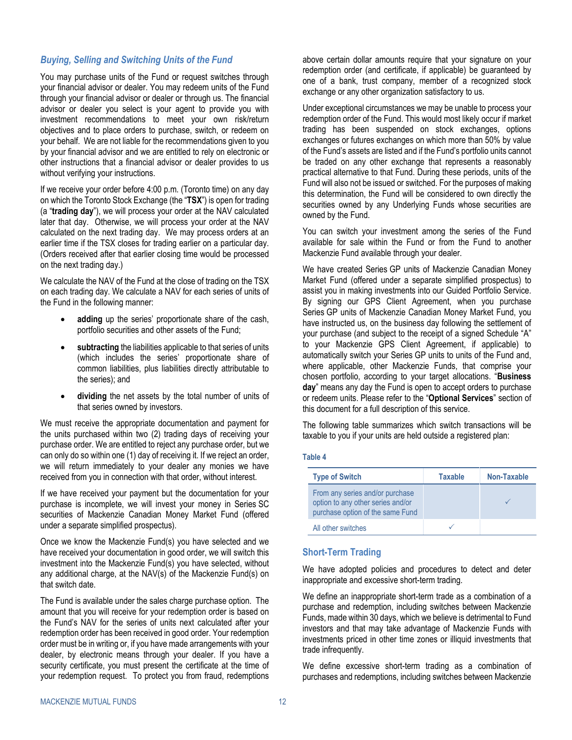#### *Buying, Selling and Switching Units of the Fund*

You may purchase units of the Fund or request switches through your financial advisor or dealer. You may redeem units of the Fund through your financial advisor or dealer or through us. The financial advisor or dealer you select is your agent to provide you with investment recommendations to meet your own risk/return objectives and to place orders to purchase, switch, or redeem on your behalf. We are not liable for the recommendations given to you by your financial advisor and we are entitled to rely on electronic or other instructions that a financial advisor or dealer provides to us without verifying your instructions.

If we receive your order before 4:00 p.m. (Toronto time) on any day on which the Toronto Stock Exchange (the "**TSX**") is open for trading (a "**trading day**"), we will process your order at the NAV calculated later that day. Otherwise, we will process your order at the NAV calculated on the next trading day. We may process orders at an earlier time if the TSX closes for trading earlier on a particular day. (Orders received after that earlier closing time would be processed on the next trading day.)

We calculate the NAV of the Fund at the close of trading on the TSX on each trading day. We calculate a NAV for each series of units of the Fund in the following manner:

- adding up the series' proportionate share of the cash, portfolio securities and other assets of the Fund;
- subtracting the liabilities applicable to that series of units (which includes the series' proportionate share of common liabilities, plus liabilities directly attributable to the series); and
- dividing the net assets by the total number of units of that series owned by investors.

We must receive the appropriate documentation and payment for the units purchased within two (2) trading days of receiving your purchase order. We are entitled to reject any purchase order, but we can only do so within one (1) day of receiving it. If we reject an order, we will return immediately to your dealer any monies we have received from you in connection with that order, without interest.

If we have received your payment but the documentation for your purchase is incomplete, we will invest your money in Series SC securities of Mackenzie Canadian Money Market Fund (offered under a separate simplified prospectus).

Once we know the Mackenzie Fund(s) you have selected and we have received your documentation in good order, we will switch this investment into the Mackenzie Fund(s) you have selected, without any additional charge, at the NAV(s) of the Mackenzie Fund(s) on that switch date.

The Fund is available under the sales charge purchase option. The amount that you will receive for your redemption order is based on the Fund's NAV for the series of units next calculated after your redemption order has been received in good order. Your redemption order must be in writing or, if you have made arrangements with your dealer, by electronic means through your dealer. If you have a security certificate, you must present the certificate at the time of your redemption request. To protect you from fraud, redemptions

above certain dollar amounts require that your signature on your redemption order (and certificate, if applicable) be guaranteed by one of a bank, trust company, member of a recognized stock exchange or any other organization satisfactory to us.

Under exceptional circumstances we may be unable to process your redemption order of the Fund. This would most likely occur if market trading has been suspended on stock exchanges, options exchanges or futures exchanges on which more than 50% by value of the Fund's assets are listed and if the Fund's portfolio units cannot be traded on any other exchange that represents a reasonably practical alternative to that Fund. During these periods, units of the Fund will also not be issued or switched. For the purposes of making this determination, the Fund will be considered to own directly the securities owned by any Underlying Funds whose securities are owned by the Fund.

You can switch your investment among the series of the Fund available for sale within the Fund or from the Fund to another Mackenzie Fund available through your dealer.

We have created Series GP units of Mackenzie Canadian Money Market Fund (offered under a separate simplified prospectus) to assist you in making investments into our Guided Portfolio Service. By signing our GPS Client Agreement, when you purchase Series GP units of Mackenzie Canadian Money Market Fund, you have instructed us, on the business day following the settlement of your purchase (and subject to the receipt of a signed Schedule "A" to your Mackenzie GPS Client Agreement, if applicable) to automatically switch your Series GP units to units of the Fund and, where applicable, other Mackenzie Funds, that comprise your chosen portfolio, according to your target allocations. "**Business day**" means any day the Fund is open to accept orders to purchase or redeem units. Please refer to the "**[Optional Services](#page-16-0)**" section of this document for a full description of this service.

The following table summarizes which switch transactions will be taxable to you if your units are held outside a registered plan:

#### **Table 4**

| <b>Type of Switch</b>                                                                                    | <b>Taxable</b> | Non-Taxable |
|----------------------------------------------------------------------------------------------------------|----------------|-------------|
| From any series and/or purchase<br>option to any other series and/or<br>purchase option of the same Fund |                |             |
| All other switches                                                                                       |                |             |

#### <span id="page-15-0"></span>**Short-Term Trading**

We have adopted policies and procedures to detect and deter inappropriate and excessive short-term trading.

We define an inappropriate short-term trade as a combination of a purchase and redemption, including switches between Mackenzie Funds, made within 30 days, which we believe is detrimental to Fund investors and that may take advantage of Mackenzie Funds with investments priced in other time zones or illiquid investments that trade infrequently.

We define excessive short-term trading as a combination of purchases and redemptions, including switches between Mackenzie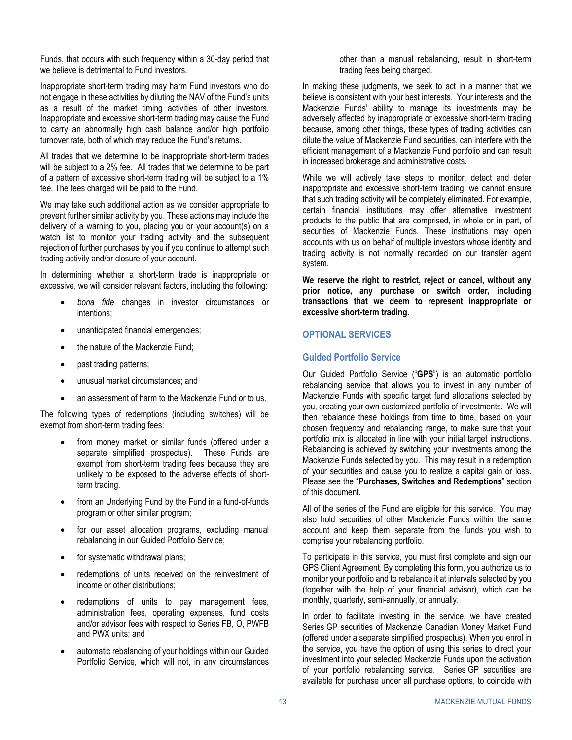Funds, that occurs with such frequency within a 30-day period that we believe is detrimental to Fund investors.

Inappropriate short-term trading may harm Fund investors who do not engage in these activities by diluting the NAV of the Fund's units as a result of the market timing activities of other investors. Inappropriate and excessive short-term trading may cause the Fund to carry an abnormally high cash balance and/or high portfolio turnover rate, both of which may reduce the Fund's returns.

All trades that we determine to be inappropriate short-term trades will be subject to a 2% fee. All trades that we determine to be part of a pattern of excessive short-term trading will be subject to a 1% fee. The fees charged will be paid to the Fund.

We may take such additional action as we consider appropriate to prevent further similar activity by you. These actions may include the delivery of a warning to you, placing you or your account(s) on a watch list to monitor your trading activity and the subsequent rejection of further purchases by you if you continue to attempt such trading activity and/or closure of your account.

In determining whether a short-term trade is inappropriate or excessive, we will consider relevant factors, including the following:

- *bona fide* changes in investor circumstances or intentions;
- unanticipated financial emergencies;
- the nature of the Mackenzie Fund;
- past trading patterns;
- unusual market circumstances; and
- an assessment of harm to the Mackenzie Fund or to us.

The following types of redemptions (including switches) will be exempt from short-term trading fees:

- from money market or similar funds (offered under a separate simplified prospectus). These Funds are exempt from short-term trading fees because they are unlikely to be exposed to the adverse effects of shortterm trading.
- from an Underlying Fund by the Fund in a fund-of-funds program or other similar program;
- for our asset allocation programs, excluding manual rebalancing in our Guided Portfolio Service;
- for systematic withdrawal plans;
- redemptions of units received on the reinvestment of income or other distributions;
- redemptions of units to pay management fees, administration fees, operating expenses, fund costs and/or advisor fees with respect to Series FB, O, PWFB and PWX units; and
- automatic rebalancing of your holdings within our Guided Portfolio Service, which will not, in any circumstances

other than a manual rebalancing, result in short-term trading fees being charged.

In making these judgments, we seek to act in a manner that we believe is consistent with your best interests. Your interests and the Mackenzie Funds' ability to manage its investments may be adversely affected by inappropriate or excessive short-term trading because, among other things, these types of trading activities can dilute the value of Mackenzie Fund securities, can interfere with the efficient management of a Mackenzie Fund portfolio and can result in increased brokerage and administrative costs.

While we will actively take steps to monitor, detect and deter inappropriate and excessive short-term trading, we cannot ensure that such trading activity will be completely eliminated. For example, certain financial institutions may offer alternative investment products to the public that are comprised, in whole or in part, of securities of Mackenzie Funds. These institutions may open accounts with us on behalf of multiple investors whose identity and trading activity is not normally recorded on our transfer agent system.

**We reserve the right to restrict, reject or cancel, without any prior notice, any purchase or switch order, including transactions that we deem to represent inappropriate or excessive short-term trading.** 

### <span id="page-16-0"></span>**OPTIONAL SERVICES**

### **Guided Portfolio Service**

Our Guided Portfolio Service ("**GPS**") is an automatic portfolio rebalancing service that allows you to invest in any number of Mackenzie Funds with specific target fund allocations selected by you, creating your own customized portfolio of investments. We will then rebalance these holdings from time to time, based on your chosen frequency and rebalancing range, to make sure that your portfolio mix is allocated in line with your initial target instructions. Rebalancing is achieved by switching your investments among the Mackenzie Funds selected by you. This may result in a redemption of your securities and cause you to realize a capital gain or loss. Please see the "**[Purchases, Switches](#page-12-1) and Redemptions**" section of this document.

All of the series of the Fund are eligible for this service. You may also hold securities of other Mackenzie Funds within the same account and keep them separate from the funds you wish to comprise your rebalancing portfolio.

To participate in this service, you must first complete and sign our GPS Client Agreement. By completing this form, you authorize us to monitor your portfolio and to rebalance it at intervals selected by you (together with the help of your financial advisor), which can be monthly, quarterly, semi-annually, or annually.

In order to facilitate investing in the service, we have created Series GP securities of Mackenzie Canadian Money Market Fund (offered under a separate simplified prospectus). When you enrol in the service, you have the option of using this series to direct your investment into your selected Mackenzie Funds upon the activation of your portfolio rebalancing service. Series GP securities are available for purchase under all purchase options, to coincide with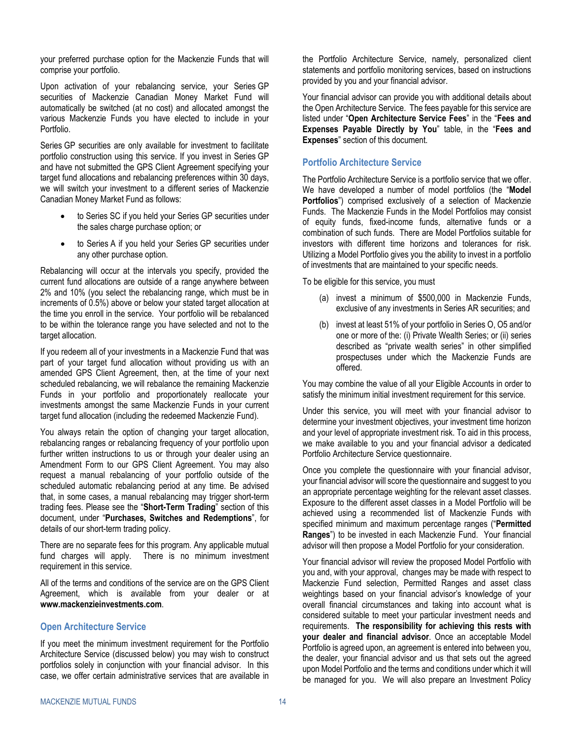your preferred purchase option for the Mackenzie Funds that will comprise your portfolio.

Upon activation of your rebalancing service, your Series GP securities of Mackenzie Canadian Money Market Fund will automatically be switched (at no cost) and allocated amongst the various Mackenzie Funds you have elected to include in your Portfolio.

Series GP securities are only available for investment to facilitate portfolio construction using this service. If you invest in Series GP and have not submitted the GPS Client Agreement specifying your target fund allocations and rebalancing preferences within 30 days, we will switch your investment to a different series of Mackenzie Canadian Money Market Fund as follows:

- to Series SC if you held your Series GP securities under the sales charge purchase option; or
- to Series A if you held your Series GP securities under any other purchase option.

Rebalancing will occur at the intervals you specify, provided the current fund allocations are outside of a range anywhere between 2% and 10% (you select the rebalancing range, which must be in increments of 0.5%) above or below your stated target allocation at the time you enroll in the service. Your portfolio will be rebalanced to be within the tolerance range you have selected and not to the target allocation.

If you redeem all of your investments in a Mackenzie Fund that was part of your target fund allocation without providing us with an amended GPS Client Agreement, then, at the time of your next scheduled rebalancing, we will rebalance the remaining Mackenzie Funds in your portfolio and proportionately reallocate your investments amongst the same Mackenzie Funds in your current target fund allocation (including the redeemed Mackenzie Fund).

You always retain the option of changing your target allocation, rebalancing ranges or rebalancing frequency of your portfolio upon further written instructions to us or through your dealer using an Amendment Form to our GPS Client Agreement. You may also request a manual rebalancing of your portfolio outside of the scheduled automatic rebalancing period at any time. Be advised that, in some cases, a manual rebalancing may trigger short-term trading fees. Please see the "**[Short-Term Trading](#page-15-0)**" section of this document, under "**[Purchases, Switches](#page-12-1) and Redemptions**", for details of our short-term trading policy.

There are no separate fees for this program. Any applicable mutual fund charges will apply. There is no minimum investment requirement in this service.

All of the terms and conditions of the service are on the GPS Client Agreement, which is available from your dealer or at **www.mackenzieinvestments.com**.

#### <span id="page-17-1"></span>**Open Architecture Service**

If you meet the minimum investment requirement for the Portfolio Architecture Service (discussed below) you may wish to construct portfolios solely in conjunction with your financial advisor. In this case, we offer certain administrative services that are available in

the Portfolio Architecture Service, namely, personalized client statements and portfolio monitoring services, based on instructions provided by you and your financial advisor.

Your financial advisor can provide you with additional details about the Open Architecture Service. The fees payable for this service are listed under "**[Open Architecture Service F](#page-24-0)ees**" in the "**[Fees and](#page-23-0) [Expenses](#page-23-0) Payable Directly by You**" table, in the "**[Fees and](#page-19-0) [Expenses](#page-19-0)**" section of this document.

### <span id="page-17-0"></span>**Portfolio Architecture Service**

The Portfolio Architecture Service is a portfolio service that we offer. We have developed a number of model portfolios (the "**Model Portfolios**") comprised exclusively of a selection of Mackenzie Funds. The Mackenzie Funds in the Model Portfolios may consist of equity funds, fixed-income funds, alternative funds or a combination of such funds. There are Model Portfolios suitable for investors with different time horizons and tolerances for risk. Utilizing a Model Portfolio gives you the ability to invest in a portfolio of investments that are maintained to your specific needs.

To be eligible for this service, you must

- (a) invest a minimum of \$500,000 in Mackenzie Funds, exclusive of any investments in Series AR securities; and
- (b) invest at least 51% of your portfolio in Series O, O5 and/or one or more of the: (i) Private Wealth Series; or (ii) series described as "private wealth series" in other simplified prospectuses under which the Mackenzie Funds are offered.

You may combine the value of all your Eligible Accounts in order to satisfy the minimum initial investment requirement for this service.

Under this service, you will meet with your financial advisor to determine your investment objectives, your investment time horizon and your level of appropriate investment risk. To aid in this process, we make available to you and your financial advisor a dedicated Portfolio Architecture Service questionnaire.

Once you complete the questionnaire with your financial advisor, your financial advisor will score the questionnaire and suggest to you an appropriate percentage weighting for the relevant asset classes. Exposure to the different asset classes in a Model Portfolio will be achieved using a recommended list of Mackenzie Funds with specified minimum and maximum percentage ranges ("**Permitted Ranges**") to be invested in each Mackenzie Fund. Your financial advisor will then propose a Model Portfolio for your consideration.

Your financial advisor will review the proposed Model Portfolio with you and, with your approval, changes may be made with respect to Mackenzie Fund selection, Permitted Ranges and asset class weightings based on your financial advisor's knowledge of your overall financial circumstances and taking into account what is considered suitable to meet your particular investment needs and requirements. **The responsibility for achieving this rests with your dealer and financial advisor**. Once an acceptable Model Portfolio is agreed upon, an agreement is entered into between you, the dealer, your financial advisor and us that sets out the agreed upon Model Portfolio and the terms and conditions under which it will be managed for you. We will also prepare an Investment Policy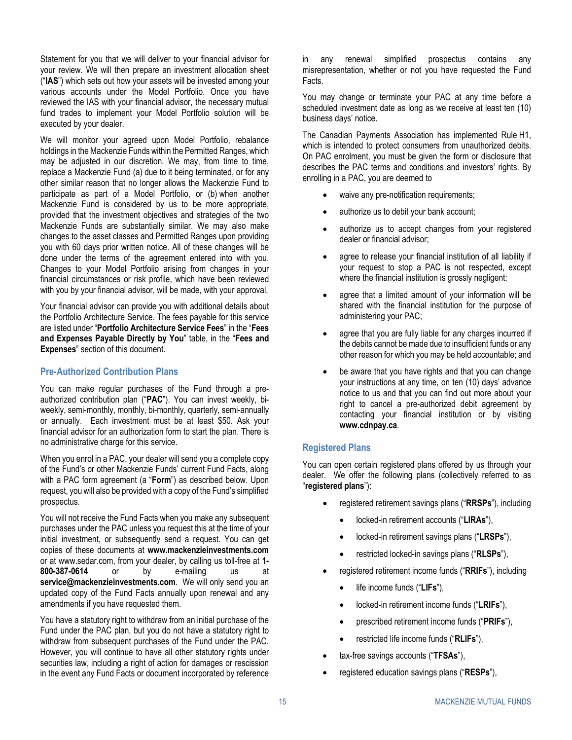Statement for you that we will deliver to your financial advisor for your review. We will then prepare an investment allocation sheet ("**IAS**") which sets out how your assets will be invested among your various accounts under the Model Portfolio. Once you have reviewed the IAS with your financial advisor, the necessary mutual fund trades to implement your Model Portfolio solution will be executed by your dealer.

We will monitor your agreed upon Model Portfolio, rebalance holdings in the Mackenzie Funds within the Permitted Ranges, which may be adjusted in our discretion. We may, from time to time, replace a Mackenzie Fund (a) due to it being terminated, or for any other similar reason that no longer allows the Mackenzie Fund to participate as part of a Model Portfolio, or (b) when another Mackenzie Fund is considered by us to be more appropriate, provided that the investment objectives and strategies of the two Mackenzie Funds are substantially similar. We may also make changes to the asset classes and Permitted Ranges upon providing you with 60 days prior written notice. All of these changes will be done under the terms of the agreement entered into with you. Changes to your Model Portfolio arising from changes in your financial circumstances or risk profile, which have been reviewed with you by your financial advisor, will be made, with your approval.

Your financial advisor can provide you with additional details about the Portfolio Architecture Service. The fees payable for this service are listed under "**[Portfolio Architecture Service](#page-24-1) Fees**" in the "**[Fees](#page-23-0)  and [Expenses](#page-23-0) Payable Directly by You**" table, in the "**[Fees and](#page-19-0) [Expenses](#page-19-0)**" section of this document.

### **Pre-Authorized Contribution Plans**

You can make regular purchases of the Fund through a preauthorized contribution plan ("**PAC**"). You can invest weekly, biweekly, semi-monthly, monthly, bi-monthly, quarterly, semi-annually or annually. Each investment must be at least \$50. Ask your financial advisor for an authorization form to start the plan. There is no administrative charge for this service.

When you enrol in a PAC, your dealer will send you a complete copy of the Fund's or other Mackenzie Funds' current Fund Facts, along with a PAC form agreement (a "**Form**") as described below. Upon request, you will also be provided with a copy of the Fund's simplified prospectus.

You will not receive the Fund Facts when you make any subsequent purchases under the PAC unless you request this at the time of your initial investment, or subsequently send a request. You can get copies of these documents at **www.mackenzieinvestments.com** or at www.sedar.com, from your dealer, by calling us toll-free at **1- 800-387-0614** or by e-mailing us at **service@mackenzieinvestments.com**. We will only send you an updated copy of the Fund Facts annually upon renewal and any amendments if you have requested them.

You have a statutory right to withdraw from an initial purchase of the Fund under the PAC plan, but you do not have a statutory right to withdraw from subsequent purchases of the Fund under the PAC. However, you will continue to have all other statutory rights under securities law, including a right of action for damages or rescission in the event any Fund Facts or document incorporated by reference in any renewal simplified prospectus contains any misrepresentation, whether or not you have requested the Fund Facts.

You may change or terminate your PAC at any time before a scheduled investment date as long as we receive at least ten (10) business days' notice.

The Canadian Payments Association has implemented Rule H1, which is intended to protect consumers from unauthorized debits. On PAC enrolment, you must be given the form or disclosure that describes the PAC terms and conditions and investors' rights. By enrolling in a PAC, you are deemed to

- waive any pre-notification requirements;
- authorize us to debit your bank account;
- authorize us to accept changes from your registered dealer or financial advisor;
- agree to release your financial institution of all liability if your request to stop a PAC is not respected, except where the financial institution is grossly negligent;
- agree that a limited amount of your information will be shared with the financial institution for the purpose of administering your PAC;
- agree that you are fully liable for any charges incurred if the debits cannot be made due to insufficient funds or any other reason for which you may be held accountable; and
- be aware that you have rights and that you can change your instructions at any time, on ten (10) days' advance notice to us and that you can find out more about your right to cancel a pre-authorized debit agreement by contacting your financial institution or by visiting **www.cdnpay.ca**.

#### **Registered Plans**

You can open certain registered plans offered by us through your dealer. We offer the following plans (collectively referred to as "**registered plans**"):

- registered retirement savings plans ("**RRSPs**"), including
	- locked-in retirement accounts ("**LIRAs**"),
	- locked-in retirement savings plans ("**LRSPs**"),
	- restricted locked-in savings plans ("**RLSPs**"),
- registered retirement income funds ("**RRIFs**"), including
	- life income funds ("**LIFs**"),
	- locked-in retirement income funds ("**LRIFs**"),
	- prescribed retirement income funds ("**PRIFs**"),
	- restricted life income funds ("**RLIFs**"),
- tax-free savings accounts ("**TFSAs**"),
- registered education savings plans ("**RESPs**"),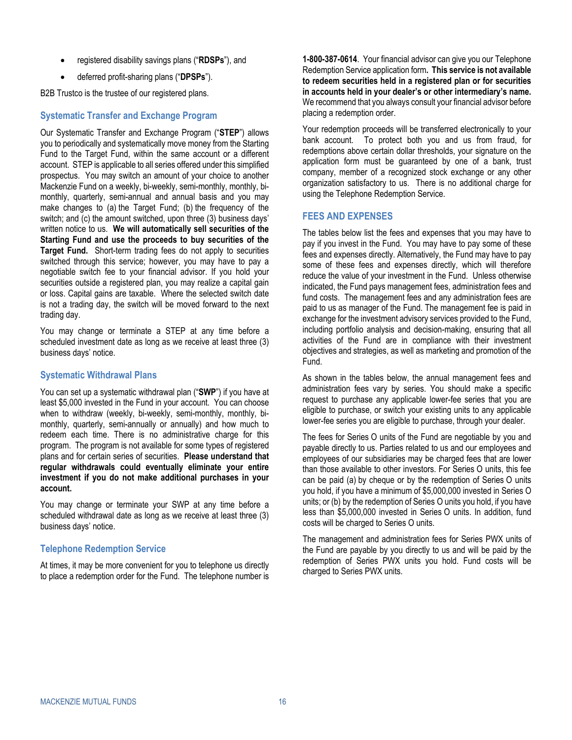- registered disability savings plans ("**RDSPs**"), and
- deferred profit-sharing plans ("**DPSPs**").

B2B Trustco is the trustee of our registered plans.

### **Systematic Transfer and Exchange Program**

Our Systematic Transfer and Exchange Program ("**STEP**") allows you to periodically and systematically move money from the Starting Fund to the Target Fund, within the same account or a different account. STEP is applicable to all series offered under this simplified prospectus. You may switch an amount of your choice to another Mackenzie Fund on a weekly, bi-weekly, semi-monthly, monthly, bimonthly, quarterly, semi-annual and annual basis and you may make changes to (a) the Target Fund; (b) the frequency of the switch; and (c) the amount switched, upon three (3) business days' written notice to us. **We will automatically sell securities of the Starting Fund and use the proceeds to buy securities of the Target Fund.** Short-term trading fees do not apply to securities switched through this service; however, you may have to pay a negotiable switch fee to your financial advisor. If you hold your securities outside a registered plan, you may realize a capital gain or loss. Capital gains are taxable. Where the selected switch date is not a trading day, the switch will be moved forward to the next trading day.

You may change or terminate a STEP at any time before a scheduled investment date as long as we receive at least three (3) business days' notice.

### **Systematic Withdrawal Plans**

You can set up a systematic withdrawal plan ("**SWP**") if you have at least \$5,000 invested in the Fund in your account. You can choose when to withdraw (weekly, bi-weekly, semi-monthly, monthly, bimonthly, quarterly, semi-annually or annually) and how much to redeem each time. There is no administrative charge for this program. The program is not available for some types of registered plans and for certain series of securities. **Please understand that regular withdrawals could eventually eliminate your entire investment if you do not make additional purchases in your account.**

You may change or terminate your SWP at any time before a scheduled withdrawal date as long as we receive at least three (3) business days' notice.

#### **Telephone Redemption Service**

At times, it may be more convenient for you to telephone us directly to place a redemption order for the Fund. The telephone number is

**1-800-387-0614**. Your financial advisor can give you our Telephone Redemption Service application form**. This service is not available to redeem securities held in a registered plan or for securities in accounts held in your dealer's or other intermediary's name.** We recommend that you always consult your financial advisor before placing a redemption order.

Your redemption proceeds will be transferred electronically to your bank account. To protect both you and us from fraud, for redemptions above certain dollar thresholds, your signature on the application form must be guaranteed by one of a bank, trust company, member of a recognized stock exchange or any other organization satisfactory to us. There is no additional charge for using the Telephone Redemption Service.

### <span id="page-19-0"></span>**FEES AND EXPENSES**

The tables below list the fees and expenses that you may have to pay if you invest in the Fund. You may have to pay some of these fees and expenses directly. Alternatively, the Fund may have to pay some of these fees and expenses directly, which will therefore reduce the value of your investment in the Fund. Unless otherwise indicated, the Fund pays management fees, administration fees and fund costs. The management fees and any administration fees are paid to us as manager of the Fund. The management fee is paid in exchange for the investment advisory services provided to the Fund, including portfolio analysis and decision-making, ensuring that all activities of the Fund are in compliance with their investment objectives and strategies, as well as marketing and promotion of the Fund.

As shown in the tables below, the annual management fees and administration fees vary by series. You should make a specific request to purchase any applicable lower-fee series that you are eligible to purchase, or switch your existing units to any applicable lower-fee series you are eligible to purchase, through your dealer.

The fees for Series O units of the Fund are negotiable by you and payable directly to us. Parties related to us and our employees and employees of our subsidiaries may be charged fees that are lower than those available to other investors. For Series O units, this fee can be paid (a) by cheque or by the redemption of Series O units you hold, if you have a minimum of \$5,000,000 invested in Series O units; or (b) by the redemption of Series O units you hold, if you have less than \$5,000,000 invested in Series O units. In addition, fund costs will be charged to Series O units.

The management and administration fees for Series PWX units of the Fund are payable by you directly to us and will be paid by the redemption of Series PWX units you hold. Fund costs will be charged to Series PWX units.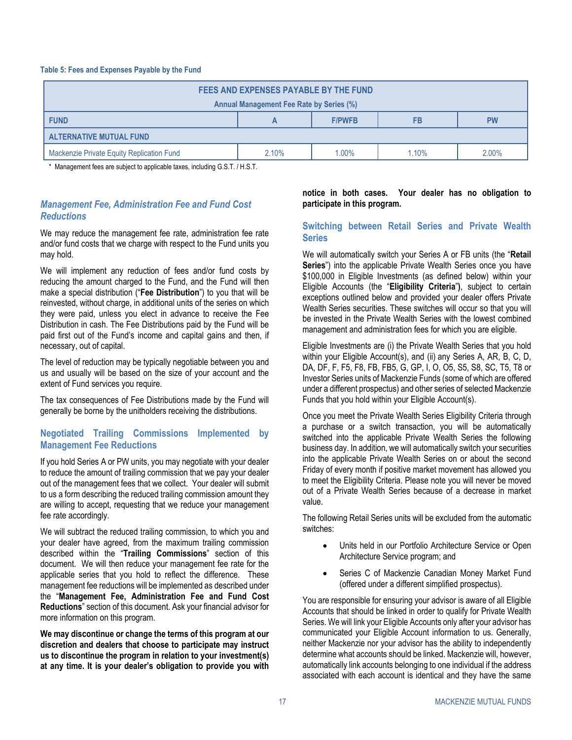#### **Table 5: Fees and Expenses Payable by the Fund**

| FEES AND EXPENSES PAYABLE BY THE FUND<br>Annual Management Fee Rate by Series (%) |       |       |       |       |
|-----------------------------------------------------------------------------------|-------|-------|-------|-------|
| <b>FUND</b><br><b>F/PWFB</b><br><b>FB</b><br><b>PW</b>                            |       |       |       |       |
| <b>ALTERNATIVE MUTUAL FUND</b>                                                    |       |       |       |       |
| Mackenzie Private Equity Replication Fund                                         | 2.10% | 1.00% | 1.10% | 2.00% |

\* Management fees are subject to applicable taxes, including G.S.T. / H.S.T.

### <span id="page-20-0"></span>*Management Fee, Administration Fee and Fund Cost Reductions*

We may reduce the management fee rate, administration fee rate and/or fund costs that we charge with respect to the Fund units you may hold.

We will implement any reduction of fees and/or fund costs by reducing the amount charged to the Fund, and the Fund will then make a special distribution ("**Fee Distribution**") to you that will be reinvested, without charge, in additional units of the series on which they were paid, unless you elect in advance to receive the Fee Distribution in cash. The Fee Distributions paid by the Fund will be paid first out of the Fund's income and capital gains and then, if necessary, out of capital.

The level of reduction may be typically negotiable between you and us and usually will be based on the size of your account and the extent of Fund services you require.

The tax consequences of Fee Distributions made by the Fund will generally be borne by the unitholders receiving the distributions.

### **Negotiated Trailing Commissions Implemented by Management Fee Reductions**

If you hold Series A or PW units, you may negotiate with your dealer to reduce the amount of trailing commission that we pay your dealer out of the management fees that we collect. Your dealer will submit to us a form describing the reduced trailing commission amount they are willing to accept, requesting that we reduce your management fee rate accordingly.

We will subtract the reduced trailing commission, to which you and your dealer have agreed, from the maximum trailing commission described within the "**[Trailing Commissions](#page-25-1)**" section of this document. We will then reduce your management fee rate for the applicable series that you hold to reflect the difference. These management fee reductions will be implemented as described under the "**[Management Fee, Administration Fee and Fund Cost](#page-20-0)  [Reductions](#page-20-0)**" section of this document. Ask your financial advisor for more information on this program.

**We may discontinue or change the terms of this program at our discretion and dealers that choose to participate may instruct us to discontinue the program in relation to your investment(s) at any time. It is your dealer's obligation to provide you with** 

**notice in both cases. Your dealer has no obligation to participate in this program.** 

### **Switching between Retail Series and Private Wealth Series**

We will automatically switch your Series A or FB units (the "**Retail Series**") into the applicable Private Wealth Series once you have \$100,000 in Eligible Investments (as defined below) within your Eligible Accounts (the "**Eligibility Criteria**"**)**, subject to certain exceptions outlined below and provided your dealer offers Private Wealth Series securities. These switches will occur so that you will be invested in the Private Wealth Series with the lowest combined management and administration fees for which you are eligible.

Eligible Investments are (i) the Private Wealth Series that you hold within your Eligible Account(s), and (ii) any Series A, AR, B, C, D, DA, DF, F, F5, F8, FB, FB5, G, GP, I, O, O5, S5, S8, SC, T5, T8 or Investor Series units of Mackenzie Funds (some of which are offered under a different prospectus) and other series of selected Mackenzie Funds that you hold within your Eligible Account(s).

Once you meet the Private Wealth Series Eligibility Criteria through a purchase or a switch transaction, you will be automatically switched into the applicable Private Wealth Series the following business day. In addition, we will automatically switch your securities into the applicable Private Wealth Series on or about the second Friday of every month if positive market movement has allowed you to meet the Eligibility Criteria. Please note you will never be moved out of a Private Wealth Series because of a decrease in market value.

The following Retail Series units will be excluded from the automatic switches:

- Units held in our Portfolio Architecture Service or Open Architecture Service program; and
- Series C of Mackenzie Canadian Money Market Fund (offered under a different simplified prospectus).

You are responsible for ensuring your advisor is aware of all Eligible Accounts that should be linked in order to qualify for Private Wealth Series. We will link your Eligible Accounts only after your advisor has communicated your Eligible Account information to us. Generally, neither Mackenzie nor your advisor has the ability to independently determine what accounts should be linked. Mackenzie will, however, automatically link accounts belonging to one individual if the address associated with each account is identical and they have the same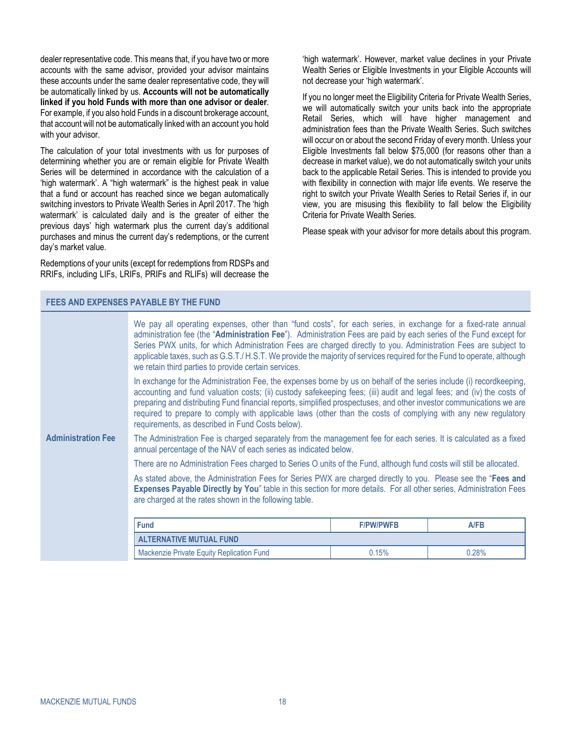dealer representative code. This means that, if you have two or more accounts with the same advisor, provided your advisor maintains these accounts under the same dealer representative code, they will be automatically linked by us. **Accounts will not be automatically linked if you hold Funds with more than one advisor or dealer**. For example, if you also hold Funds in a discount brokerage account, that account will not be automatically linked with an account you hold with your advisor.

The calculation of your total investments with us for purposes of determining whether you are or remain eligible for Private Wealth Series will be determined in accordance with the calculation of a 'high watermark'. A "high watermark" is the highest peak in value that a fund or account has reached since we began automatically switching investors to Private Wealth Series in April 2017. The 'high watermark' is calculated daily and is the greater of either the previous days' high watermark plus the current day's additional purchases and minus the current day's redemptions, or the current day's market value.

Redemptions of your units (except for redemptions from RDSPs and RRIFs, including LIFs, LRIFs, PRIFs and RLIFs) will decrease the

'high watermark'. However, market value declines in your Private Wealth Series or Eligible Investments in your Eligible Accounts will not decrease your 'high watermark'.

If you no longer meet the Eligibility Criteria for Private Wealth Series, we will automatically switch your units back into the appropriate Retail Series, which will have higher management and administration fees than the Private Wealth Series. Such switches will occur on or about the second Friday of every month. Unless your Eligible Investments fall below \$75,000 (for reasons other than a decrease in market value), we do not automatically switch your units back to the applicable Retail Series. This is intended to provide you with flexibility in connection with major life events. We reserve the right to switch your Private Wealth Series to Retail Series if, in our view, you are misusing this flexibility to fall below the Eligibility Criteria for Private Wealth Series.

Please speak with your advisor for more details about this program.

#### <span id="page-21-0"></span>**FEES AND EXPENSES PAYABLE BY THE FUND**

|                           | We pay all operating expenses, other than "fund costs", for each series, in exchange for a fixed-rate annual<br>administration fee (the "Administration Fee"). Administration Fees are paid by each series of the Fund except for<br>Series PWX units, for which Administration Fees are charged directly to you. Administration Fees are subject to<br>applicable taxes, such as G.S.T./H.S.T. We provide the majority of services required for the Fund to operate, although<br>we retain third parties to provide certain services.    |                  |       |
|---------------------------|-------------------------------------------------------------------------------------------------------------------------------------------------------------------------------------------------------------------------------------------------------------------------------------------------------------------------------------------------------------------------------------------------------------------------------------------------------------------------------------------------------------------------------------------|------------------|-------|
|                           | In exchange for the Administration Fee, the expenses borne by us on behalf of the series include (i) recordkeeping,<br>accounting and fund valuation costs; (ii) custody safekeeping fees; (iii) audit and legal fees; and (iv) the costs of<br>preparing and distributing Fund financial reports, simplified prospectuses, and other investor communications we are<br>required to prepare to comply with applicable laws (other than the costs of complying with any new regulatory<br>requirements, as described in Fund Costs below). |                  |       |
| <b>Administration Fee</b> | The Administration Fee is charged separately from the management fee for each series. It is calculated as a fixed<br>annual percentage of the NAV of each series as indicated below.                                                                                                                                                                                                                                                                                                                                                      |                  |       |
|                           | There are no Administration Fees charged to Series O units of the Fund, although fund costs will still be allocated.                                                                                                                                                                                                                                                                                                                                                                                                                      |                  |       |
|                           | As stated above, the Administration Fees for Series PWX are charged directly to you. Please see the "Fees and<br>Expenses Payable Directly by You" table in this section for more details. For all other series, Administration Fees<br>are charged at the rates shown in the following table.                                                                                                                                                                                                                                            |                  |       |
|                           | <b>Fund</b>                                                                                                                                                                                                                                                                                                                                                                                                                                                                                                                               | <b>F/PW/PWFB</b> | A/FB  |
|                           | <b>ALTERNATIVE MUTUAL FUND</b>                                                                                                                                                                                                                                                                                                                                                                                                                                                                                                            |                  |       |
|                           | Mackenzie Private Equity Replication Fund                                                                                                                                                                                                                                                                                                                                                                                                                                                                                                 | 0.15%            | 0.28% |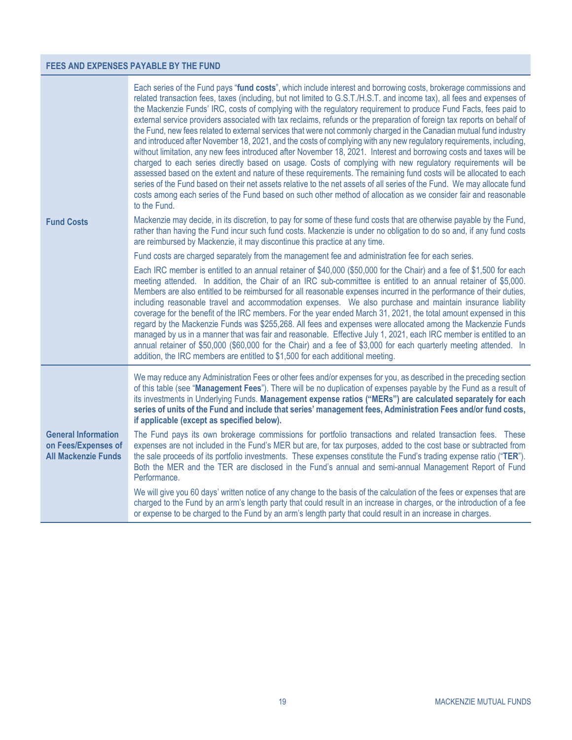### **FEES AND EXPENSES PAYABLE BY THE FUND**

|                                                                                 | Each series of the Fund pays "fund costs", which include interest and borrowing costs, brokerage commissions and<br>related transaction fees, taxes (including, but not limited to G.S.T./H.S.T. and income tax), all fees and expenses of<br>the Mackenzie Funds' IRC, costs of complying with the regulatory requirement to produce Fund Facts, fees paid to<br>external service providers associated with tax reclaims, refunds or the preparation of foreign tax reports on behalf of<br>the Fund, new fees related to external services that were not commonly charged in the Canadian mutual fund industry<br>and introduced after November 18, 2021, and the costs of complying with any new regulatory requirements, including,<br>without limitation, any new fees introduced after November 18, 2021. Interest and borrowing costs and taxes will be<br>charged to each series directly based on usage. Costs of complying with new regulatory requirements will be<br>assessed based on the extent and nature of these requirements. The remaining fund costs will be allocated to each<br>series of the Fund based on their net assets relative to the net assets of all series of the Fund. We may allocate fund<br>costs among each series of the Fund based on such other method of allocation as we consider fair and reasonable<br>to the Fund. |
|---------------------------------------------------------------------------------|------------------------------------------------------------------------------------------------------------------------------------------------------------------------------------------------------------------------------------------------------------------------------------------------------------------------------------------------------------------------------------------------------------------------------------------------------------------------------------------------------------------------------------------------------------------------------------------------------------------------------------------------------------------------------------------------------------------------------------------------------------------------------------------------------------------------------------------------------------------------------------------------------------------------------------------------------------------------------------------------------------------------------------------------------------------------------------------------------------------------------------------------------------------------------------------------------------------------------------------------------------------------------------------------------------------------------------------------------------------|
| <b>Fund Costs</b>                                                               | Mackenzie may decide, in its discretion, to pay for some of these fund costs that are otherwise payable by the Fund,<br>rather than having the Fund incur such fund costs. Mackenzie is under no obligation to do so and, if any fund costs<br>are reimbursed by Mackenzie, it may discontinue this practice at any time.                                                                                                                                                                                                                                                                                                                                                                                                                                                                                                                                                                                                                                                                                                                                                                                                                                                                                                                                                                                                                                        |
|                                                                                 | Fund costs are charged separately from the management fee and administration fee for each series.                                                                                                                                                                                                                                                                                                                                                                                                                                                                                                                                                                                                                                                                                                                                                                                                                                                                                                                                                                                                                                                                                                                                                                                                                                                                |
|                                                                                 | Each IRC member is entitled to an annual retainer of \$40,000 (\$50,000 for the Chair) and a fee of \$1,500 for each<br>meeting attended. In addition, the Chair of an IRC sub-committee is entitled to an annual retainer of \$5,000.<br>Members are also entitled to be reimbursed for all reasonable expenses incurred in the performance of their duties,<br>including reasonable travel and accommodation expenses. We also purchase and maintain insurance liability<br>coverage for the benefit of the IRC members. For the year ended March 31, 2021, the total amount expensed in this<br>regard by the Mackenzie Funds was \$255,268. All fees and expenses were allocated among the Mackenzie Funds<br>managed by us in a manner that was fair and reasonable. Effective July 1, 2021, each IRC member is entitled to an<br>annual retainer of \$50,000 (\$60,000 for the Chair) and a fee of \$3,000 for each quarterly meeting attended. In<br>addition, the IRC members are entitled to \$1,500 for each additional meeting.                                                                                                                                                                                                                                                                                                                       |
|                                                                                 | We may reduce any Administration Fees or other fees and/or expenses for you, as described in the preceding section<br>of this table (see "Management Fees"). There will be no duplication of expenses payable by the Fund as a result of<br>its investments in Underlying Funds. Management expense ratios ("MERs") are calculated separately for each<br>series of units of the Fund and include that series' management fees, Administration Fees and/or fund costs,<br>if applicable (except as specified below).                                                                                                                                                                                                                                                                                                                                                                                                                                                                                                                                                                                                                                                                                                                                                                                                                                             |
| <b>General Information</b><br>on Fees/Expenses of<br><b>All Mackenzie Funds</b> | The Fund pays its own brokerage commissions for portfolio transactions and related transaction fees. These<br>expenses are not included in the Fund's MER but are, for tax purposes, added to the cost base or subtracted from<br>the sale proceeds of its portfolio investments. These expenses constitute the Fund's trading expense ratio ("TER").<br>Both the MER and the TER are disclosed in the Fund's annual and semi-annual Management Report of Fund<br>Performance.                                                                                                                                                                                                                                                                                                                                                                                                                                                                                                                                                                                                                                                                                                                                                                                                                                                                                   |
|                                                                                 | We will give you 60 days' written notice of any change to the basis of the calculation of the fees or expenses that are<br>charged to the Fund by an arm's length party that could result in an increase in charges, or the introduction of a fee<br>or expense to be charged to the Fund by an arm's length party that could result in an increase in charges.                                                                                                                                                                                                                                                                                                                                                                                                                                                                                                                                                                                                                                                                                                                                                                                                                                                                                                                                                                                                  |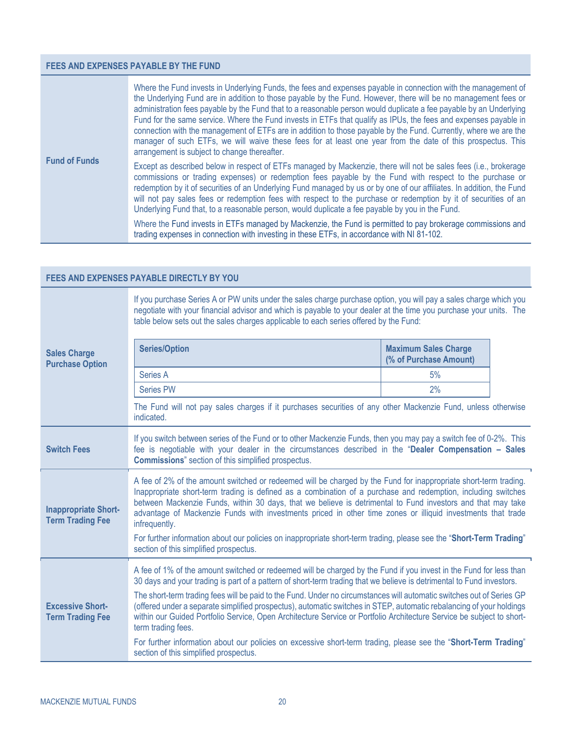### **FEES AND EXPENSES PAYABLE BY THE FUND**

<span id="page-23-1"></span>

| <b>Fund of Funds</b> | Where the Fund invests in Underlying Funds, the fees and expenses payable in connection with the management of<br>the Underlying Fund are in addition to those payable by the Fund. However, there will be no management fees or<br>administration fees payable by the Fund that to a reasonable person would duplicate a fee payable by an Underlying<br>Fund for the same service. Where the Fund invests in ETFs that qualify as IPUs, the fees and expenses payable in<br>connection with the management of ETFs are in addition to those payable by the Fund. Currently, where we are the<br>manager of such ETFs, we will waive these fees for at least one year from the date of this prospectus. This<br>arrangement is subject to change thereafter. |
|----------------------|---------------------------------------------------------------------------------------------------------------------------------------------------------------------------------------------------------------------------------------------------------------------------------------------------------------------------------------------------------------------------------------------------------------------------------------------------------------------------------------------------------------------------------------------------------------------------------------------------------------------------------------------------------------------------------------------------------------------------------------------------------------|
|                      | Except as described below in respect of ETFs managed by Mackenzie, there will not be sales fees (i.e., brokerage<br>commissions or trading expenses) or redemption fees payable by the Fund with respect to the purchase or<br>redemption by it of securities of an Underlying Fund managed by us or by one of our affiliates. In addition, the Fund<br>will not pay sales fees or redemption fees with respect to the purchase or redemption by it of securities of an<br>Underlying Fund that, to a reasonable person, would duplicate a fee payable by you in the Fund.                                                                                                                                                                                    |
|                      | Where the Fund invests in ETFs managed by Mackenzie, the Fund is permitted to pay brokerage commissions and<br>trading expenses in connection with investing in these ETFs, in accordance with NI 81-102.                                                                                                                                                                                                                                                                                                                                                                                                                                                                                                                                                     |

<span id="page-23-0"></span>

|                                                        | <b>FEES AND EXPENSES PAYABLE DIRECTLY BY YOU</b>                                                                                                                                                                                                                                                                                                                                                                                                                                                                                                                                                                                                                                                                                                                                                         |                                                       |  |  |
|--------------------------------------------------------|----------------------------------------------------------------------------------------------------------------------------------------------------------------------------------------------------------------------------------------------------------------------------------------------------------------------------------------------------------------------------------------------------------------------------------------------------------------------------------------------------------------------------------------------------------------------------------------------------------------------------------------------------------------------------------------------------------------------------------------------------------------------------------------------------------|-------------------------------------------------------|--|--|
|                                                        | If you purchase Series A or PW units under the sales charge purchase option, you will pay a sales charge which you<br>negotiate with your financial advisor and which is payable to your dealer at the time you purchase your units. The<br>table below sets out the sales charges applicable to each series offered by the Fund:                                                                                                                                                                                                                                                                                                                                                                                                                                                                        |                                                       |  |  |
| <b>Sales Charge</b><br><b>Purchase Option</b>          | <b>Series/Option</b>                                                                                                                                                                                                                                                                                                                                                                                                                                                                                                                                                                                                                                                                                                                                                                                     | <b>Maximum Sales Charge</b><br>(% of Purchase Amount) |  |  |
|                                                        | Series A                                                                                                                                                                                                                                                                                                                                                                                                                                                                                                                                                                                                                                                                                                                                                                                                 | 5%                                                    |  |  |
|                                                        | <b>Series PW</b>                                                                                                                                                                                                                                                                                                                                                                                                                                                                                                                                                                                                                                                                                                                                                                                         | 2%                                                    |  |  |
|                                                        | The Fund will not pay sales charges if it purchases securities of any other Mackenzie Fund, unless otherwise<br>indicated.                                                                                                                                                                                                                                                                                                                                                                                                                                                                                                                                                                                                                                                                               |                                                       |  |  |
| <b>Switch Fees</b>                                     | If you switch between series of the Fund or to other Mackenzie Funds, then you may pay a switch fee of 0-2%. This<br>fee is negotiable with your dealer in the circumstances described in the "Dealer Compensation - Sales<br><b>Commissions</b> " section of this simplified prospectus.                                                                                                                                                                                                                                                                                                                                                                                                                                                                                                                |                                                       |  |  |
| <b>Inappropriate Short-</b><br><b>Term Trading Fee</b> | A fee of 2% of the amount switched or redeemed will be charged by the Fund for inappropriate short-term trading.<br>Inappropriate short-term trading is defined as a combination of a purchase and redemption, including switches<br>between Mackenzie Funds, within 30 days, that we believe is detrimental to Fund investors and that may take<br>advantage of Mackenzie Funds with investments priced in other time zones or illiquid investments that trade<br>infrequently.<br>For further information about our policies on inappropriate short-term trading, please see the "Short-Term Trading"<br>section of this simplified prospectus.                                                                                                                                                        |                                                       |  |  |
| <b>Excessive Short-</b><br><b>Term Trading Fee</b>     | A fee of 1% of the amount switched or redeemed will be charged by the Fund if you invest in the Fund for less than<br>30 days and your trading is part of a pattern of short-term trading that we believe is detrimental to Fund investors.<br>The short-term trading fees will be paid to the Fund. Under no circumstances will automatic switches out of Series GP<br>(offered under a separate simplified prospectus), automatic switches in STEP, automatic rebalancing of your holdings<br>within our Guided Portfolio Service, Open Architecture Service or Portfolio Architecture Service be subject to short-<br>term trading fees.<br>For further information about our policies on excessive short-term trading, please see the "Short-Term Trading"<br>section of this simplified prospectus. |                                                       |  |  |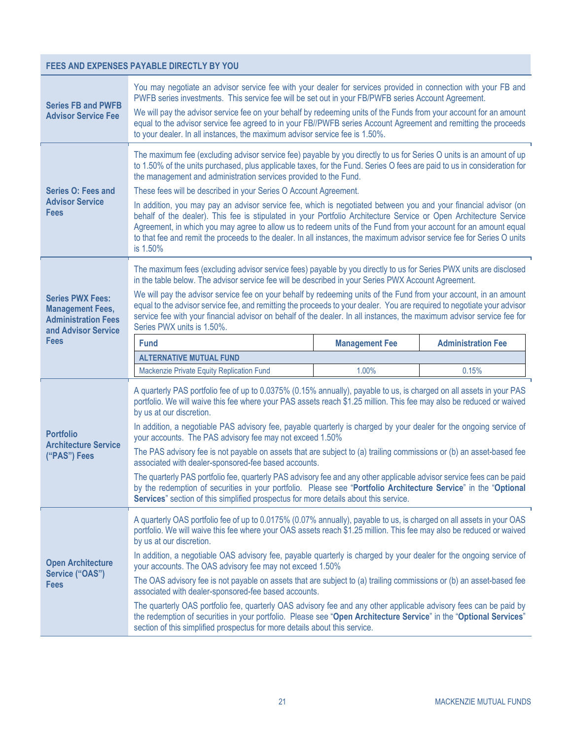### **FEES AND EXPENSES PAYABLE DIRECTLY BY YOU**

<span id="page-24-2"></span><span id="page-24-1"></span><span id="page-24-0"></span>

| <b>Series FB and PWFB</b>                                                                               | You may negotiate an advisor service fee with your dealer for services provided in connection with your FB and<br>PWFB series investments. This service fee will be set out in your FB/PWFB series Account Agreement.<br>We will pay the advisor service fee on your behalf by redeeming units of the Funds from your account for an amount<br>equal to the advisor service fee agreed to in your FB//PWFB series Account Agreement and remitting the proceeds<br>to your dealer. In all instances, the maximum advisor service fee is 1.50%.                                                                                                                                                                                                     |                       |                           |  |
|---------------------------------------------------------------------------------------------------------|---------------------------------------------------------------------------------------------------------------------------------------------------------------------------------------------------------------------------------------------------------------------------------------------------------------------------------------------------------------------------------------------------------------------------------------------------------------------------------------------------------------------------------------------------------------------------------------------------------------------------------------------------------------------------------------------------------------------------------------------------|-----------------------|---------------------------|--|
| <b>Advisor Service Fee</b>                                                                              |                                                                                                                                                                                                                                                                                                                                                                                                                                                                                                                                                                                                                                                                                                                                                   |                       |                           |  |
| <b>Series O: Fees and</b><br><b>Advisor Service</b><br><b>Fees</b>                                      | The maximum fee (excluding advisor service fee) payable by you directly to us for Series O units is an amount of up<br>to 1.50% of the units purchased, plus applicable taxes, for the Fund. Series O fees are paid to us in consideration for<br>the management and administration services provided to the Fund.<br>These fees will be described in your Series O Account Agreement.<br>In addition, you may pay an advisor service fee, which is negotiated between you and your financial advisor (on<br>behalf of the dealer). This fee is stipulated in your Portfolio Architecture Service or Open Architecture Service<br>Agreement, in which you may agree to allow us to redeem units of the Fund from your account for an amount equal |                       |                           |  |
|                                                                                                         | to that fee and remit the proceeds to the dealer. In all instances, the maximum advisor service fee for Series O units<br>is 1.50%                                                                                                                                                                                                                                                                                                                                                                                                                                                                                                                                                                                                                |                       |                           |  |
|                                                                                                         | The maximum fees (excluding advisor service fees) payable by you directly to us for Series PWX units are disclosed<br>in the table below. The advisor service fee will be described in your Series PWX Account Agreement.                                                                                                                                                                                                                                                                                                                                                                                                                                                                                                                         |                       |                           |  |
| <b>Series PWX Fees:</b><br><b>Management Fees,</b><br><b>Administration Fees</b><br>and Advisor Service | We will pay the advisor service fee on your behalf by redeeming units of the Fund from your account, in an amount<br>equal to the advisor service fee, and remitting the proceeds to your dealer. You are required to negotiate your advisor<br>service fee with your financial advisor on behalf of the dealer. In all instances, the maximum advisor service fee for<br>Series PWX units is 1.50%.                                                                                                                                                                                                                                                                                                                                              |                       |                           |  |
| <b>Fees</b>                                                                                             | <b>Fund</b>                                                                                                                                                                                                                                                                                                                                                                                                                                                                                                                                                                                                                                                                                                                                       | <b>Management Fee</b> | <b>Administration Fee</b> |  |
|                                                                                                         | <b>ALTERNATIVE MUTUAL FUND</b>                                                                                                                                                                                                                                                                                                                                                                                                                                                                                                                                                                                                                                                                                                                    |                       |                           |  |
|                                                                                                         |                                                                                                                                                                                                                                                                                                                                                                                                                                                                                                                                                                                                                                                                                                                                                   |                       |                           |  |
|                                                                                                         | Mackenzie Private Equity Replication Fund                                                                                                                                                                                                                                                                                                                                                                                                                                                                                                                                                                                                                                                                                                         | 1.00%                 | 0.15%                     |  |
|                                                                                                         | A quarterly PAS portfolio fee of up to 0.0375% (0.15% annually), payable to us, is charged on all assets in your PAS<br>portfolio. We will waive this fee where your PAS assets reach \$1.25 million. This fee may also be reduced or waived<br>by us at our discretion.                                                                                                                                                                                                                                                                                                                                                                                                                                                                          |                       |                           |  |
| <b>Portfolio</b>                                                                                        | In addition, a negotiable PAS advisory fee, payable quarterly is charged by your dealer for the ongoing service of<br>your accounts. The PAS advisory fee may not exceed 1.50%                                                                                                                                                                                                                                                                                                                                                                                                                                                                                                                                                                    |                       |                           |  |
| <b>Architecture Service</b><br>("PAS") Fees                                                             | The PAS advisory fee is not payable on assets that are subject to (a) trailing commissions or (b) an asset-based fee<br>associated with dealer-sponsored-fee based accounts.                                                                                                                                                                                                                                                                                                                                                                                                                                                                                                                                                                      |                       |                           |  |
|                                                                                                         | The quarterly PAS portfolio fee, quarterly PAS advisory fee and any other applicable advisor service fees can be paid<br>by the redemption of securities in your portfolio. Please see "Portfolio Architecture Service" in the "Optional<br>Services" section of this simplified prospectus for more details about this service.                                                                                                                                                                                                                                                                                                                                                                                                                  |                       |                           |  |
|                                                                                                         | A quarterly OAS portfolio fee of up to 0.0175% (0.07% annually), payable to us, is charged on all assets in your OAS<br>portfolio. We will waive this fee where your OAS assets reach \$1.25 million. This fee may also be reduced or waived<br>by us at our discretion.                                                                                                                                                                                                                                                                                                                                                                                                                                                                          |                       |                           |  |
| <b>Open Architecture</b>                                                                                | In addition, a negotiable OAS advisory fee, payable quarterly is charged by your dealer for the ongoing service of<br>your accounts. The OAS advisory fee may not exceed 1.50%                                                                                                                                                                                                                                                                                                                                                                                                                                                                                                                                                                    |                       |                           |  |
| Service ("OAS")<br><b>Fees</b>                                                                          | The OAS advisory fee is not payable on assets that are subject to (a) trailing commissions or (b) an asset-based fee<br>associated with dealer-sponsored-fee based accounts.                                                                                                                                                                                                                                                                                                                                                                                                                                                                                                                                                                      |                       |                           |  |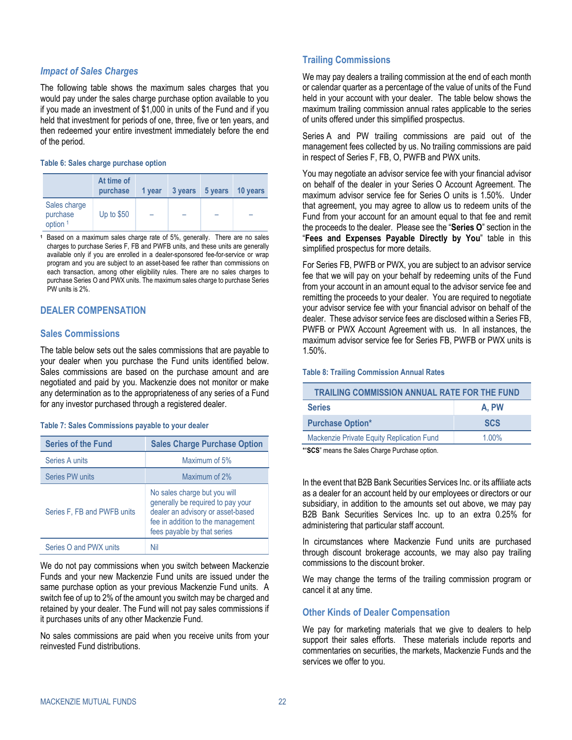#### *Impact of Sales Charges*

The following table shows the maximum sales charges that you would pay under the sales charge purchase option available to you if you made an investment of \$1,000 in units of the Fund and if you held that investment for periods of one, three, five or ten years, and then redeemed your entire investment immediately before the end of the period.

#### **Table 6: Sales charge purchase option**

|                                        | At time of<br>purchase | 1 year | 3 years | 5 years | 10 years |
|----------------------------------------|------------------------|--------|---------|---------|----------|
| Sales charge<br>purchase<br>option $1$ | Up to $$50$            |        |         |         |          |

**<sup>1</sup>** Based on a maximum sales charge rate of 5%, generally. There are no sales charges to purchase Series F, FB and PWFB units, and these units are generally available only if you are enrolled in a dealer-sponsored fee-for-service or wrap program and you are subject to an asset-based fee rather than commissions on each transaction, among other eligibility rules. There are no sales charges to purchase Series O and PWX units. The maximum sales charge to purchase Series PW units is 2%.

### <span id="page-25-2"></span><span id="page-25-0"></span>**DEALER COMPENSATION**

#### **Sales Commissions**

The table below sets out the sales commissions that are payable to your dealer when you purchase the Fund units identified below. Sales commissions are based on the purchase amount and are negotiated and paid by you. Mackenzie does not monitor or make any determination as to the appropriateness of any series of a Fund for any investor purchased through a registered dealer.

#### **Table 7: Sales Commissions payable to your dealer**

| <b>Series of the Fund</b>   | <b>Sales Charge Purchase Option</b>                                                                                                                                        |  |  |
|-----------------------------|----------------------------------------------------------------------------------------------------------------------------------------------------------------------------|--|--|
| Series A units              | Maximum of 5%                                                                                                                                                              |  |  |
| Series PW units             | Maximum of 2%                                                                                                                                                              |  |  |
| Series F, FB and PWFB units | No sales charge but you will<br>generally be required to pay your<br>dealer an advisory or asset-based<br>fee in addition to the management<br>fees payable by that series |  |  |
| Series O and PWX units      |                                                                                                                                                                            |  |  |

We do not pay commissions when you switch between Mackenzie Funds and your new Mackenzie Fund units are issued under the same purchase option as your previous Mackenzie Fund units. A switch fee of up to 2% of the amount you switch may be charged and retained by your dealer. The Fund will not pay sales commissions if it purchases units of any other Mackenzie Fund.

No sales commissions are paid when you receive units from your reinvested Fund distributions.

#### <span id="page-25-1"></span>**Trailing Commissions**

We may pay dealers a trailing commission at the end of each month or calendar quarter as a percentage of the value of units of the Fund held in your account with your dealer. The table below shows the maximum trailing commission annual rates applicable to the series of units offered under this simplified prospectus.

Series A and PW trailing commissions are paid out of the management fees collected by us. No trailing commissions are paid in respect of Series F, FB, O, PWFB and PWX units.

You may negotiate an advisor service fee with your financial advisor on behalf of the dealer in your Series O Account Agreement. The maximum advisor service fee for Series O units is 1.50%. Under that agreement, you may agree to allow us to redeem units of the Fund from your account for an amount equal to that fee and remit the proceeds to the dealer. Please see the "**[Series O](#page-24-2)**" section in the "**[Fees and](#page-23-0) Expenses Payable Directly by You**" table in this simplified prospectus for more details.

For Series FB, PWFB or PWX, you are subject to an advisor service fee that we will pay on your behalf by redeeming units of the Fund from your account in an amount equal to the advisor service fee and remitting the proceeds to your dealer. You are required to negotiate your advisor service fee with your financial advisor on behalf of the dealer. These advisor service fees are disclosed within a Series FB, PWFB or PWX Account Agreement with us. In all instances, the maximum advisor service fee for Series FB, PWFB or PWX units is 1.50%.

#### **Table 8: Trailing Commission Annual Rates**

| <b>TRAILING COMMISSION ANNUAL RATE FOR THE FUND</b> |            |  |  |  |
|-----------------------------------------------------|------------|--|--|--|
| <b>Series</b><br>A. PW                              |            |  |  |  |
| <b>Purchase Option*</b>                             | <b>SCS</b> |  |  |  |
| Mackenzie Private Equity Replication Fund           | $1.00\%$   |  |  |  |

\*"**SCS**" means the Sales Charge Purchase option.

In the event that B2B Bank Securities Services Inc. or its affiliate acts as a dealer for an account held by our employees or directors or our subsidiary, in addition to the amounts set out above, we may pay B2B Bank Securities Services Inc. up to an extra 0.25% for administering that particular staff account.

In circumstances where Mackenzie Fund units are purchased through discount brokerage accounts, we may also pay trailing commissions to the discount broker.

We may change the terms of the trailing commission program or cancel it at any time.

#### **Other Kinds of Dealer Compensation**

We pay for marketing materials that we give to dealers to help support their sales efforts. These materials include reports and commentaries on securities, the markets, Mackenzie Funds and the services we offer to you.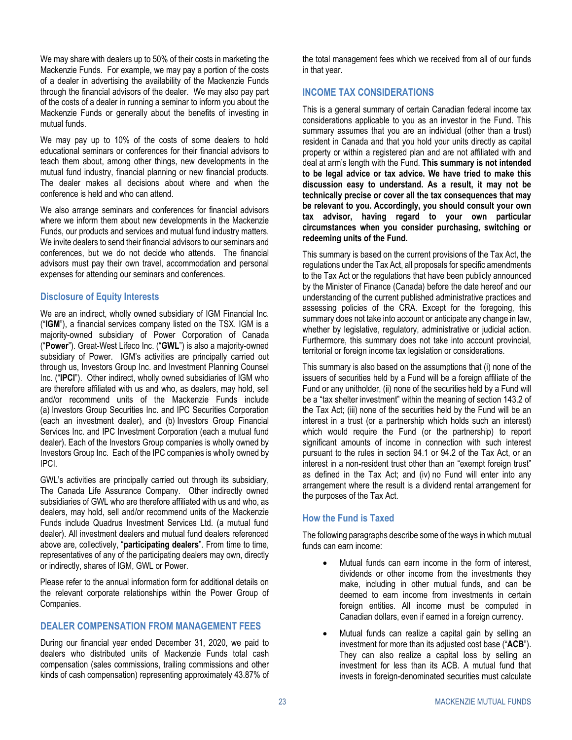We may share with dealers up to 50% of their costs in marketing the Mackenzie Funds. For example, we may pay a portion of the costs of a dealer in advertising the availability of the Mackenzie Funds through the financial advisors of the dealer. We may also pay part of the costs of a dealer in running a seminar to inform you about the Mackenzie Funds or generally about the benefits of investing in mutual funds.

We may pay up to 10% of the costs of some dealers to hold educational seminars or conferences for their financial advisors to teach them about, among other things, new developments in the mutual fund industry, financial planning or new financial products. The dealer makes all decisions about where and when the conference is held and who can attend.

We also arrange seminars and conferences for financial advisors where we inform them about new developments in the Mackenzie Funds, our products and services and mutual fund industry matters. We invite dealers to send their financial advisors to our seminars and conferences, but we do not decide who attends. The financial advisors must pay their own travel, accommodation and personal expenses for attending our seminars and conferences.

### **Disclosure of Equity Interests**

We are an indirect, wholly owned subsidiary of IGM Financial Inc. ("**IGM**"), a financial services company listed on the TSX. IGM is a majority-owned subsidiary of Power Corporation of Canada ("**Power**"). Great-West Lifeco Inc. ("**GWL**") is also a majority-owned subsidiary of Power. IGM's activities are principally carried out through us, Investors Group Inc. and Investment Planning Counsel Inc. ("**IPCI**"). Other indirect, wholly owned subsidiaries of IGM who are therefore affiliated with us and who, as dealers, may hold, sell and/or recommend units of the Mackenzie Funds include (a) Investors Group Securities Inc. and IPC Securities Corporation (each an investment dealer), and (b) Investors Group Financial Services Inc. and IPC Investment Corporation (each a mutual fund dealer). Each of the Investors Group companies is wholly owned by Investors Group Inc. Each of the IPC companies is wholly owned by IPCI.

GWL's activities are principally carried out through its subsidiary, The Canada Life Assurance Company. Other indirectly owned subsidiaries of GWL who are therefore affiliated with us and who, as dealers, may hold, sell and/or recommend units of the Mackenzie Funds include Quadrus Investment Services Ltd. (a mutual fund dealer). All investment dealers and mutual fund dealers referenced above are, collectively, "**participating dealers**". From time to time, representatives of any of the participating dealers may own, directly or indirectly, shares of IGM, GWL or Power.

Please refer to the annual information form for additional details on the relevant corporate relationships within the Power Group of Companies.

### <span id="page-26-0"></span>**DEALER COMPENSATION FROM MANAGEMENT FEES**

During our financial year ended December 31, 2020, we paid to dealers who distributed units of Mackenzie Funds total cash compensation (sales commissions, trailing commissions and other kinds of cash compensation) representing approximately 43.87% of the total management fees which we received from all of our funds in that year.

### <span id="page-26-1"></span>**INCOME TAX CONSIDERATIONS**

This is a general summary of certain Canadian federal income tax considerations applicable to you as an investor in the Fund. This summary assumes that you are an individual (other than a trust) resident in Canada and that you hold your units directly as capital property or within a registered plan and are not affiliated with and deal at arm's length with the Fund. **This summary is not intended to be legal advice or tax advice. We have tried to make this discussion easy to understand. As a result, it may not be technically precise or cover all the tax consequences that may be relevant to you. Accordingly, you should consult your own tax advisor, having regard to your own particular circumstances when you consider purchasing, switching or redeeming units of the Fund.**

This summary is based on the current provisions of the Tax Act, the regulations under the Tax Act, all proposals for specific amendments to the Tax Act or the regulations that have been publicly announced by the Minister of Finance (Canada) before the date hereof and our understanding of the current published administrative practices and assessing policies of the CRA. Except for the foregoing, this summary does not take into account or anticipate any change in law, whether by legislative, regulatory, administrative or judicial action. Furthermore, this summary does not take into account provincial, territorial or foreign income tax legislation or considerations.

This summary is also based on the assumptions that (i) none of the issuers of securities held by a Fund will be a foreign affiliate of the Fund or any unitholder, (ii) none of the securities held by a Fund will be a "tax shelter investment" within the meaning of section 143.2 of the Tax Act; (iii) none of the securities held by the Fund will be an interest in a trust (or a partnership which holds such an interest) which would require the Fund (or the partnership) to report significant amounts of income in connection with such interest pursuant to the rules in section 94.1 or 94.2 of the Tax Act, or an interest in a non-resident trust other than an "exempt foreign trust" as defined in the Tax Act; and (iv) no Fund will enter into any arrangement where the result is a dividend rental arrangement for the purposes of the Tax Act.

### **How the Fund is Taxed**

The following paragraphs describe some of the ways in which mutual funds can earn income:

- Mutual funds can earn income in the form of interest, dividends or other income from the investments they make, including in other mutual funds, and can be deemed to earn income from investments in certain foreign entities. All income must be computed in Canadian dollars, even if earned in a foreign currency.
- Mutual funds can realize a capital gain by selling an investment for more than its adjusted cost base ("**ACB**"). They can also realize a capital loss by selling an investment for less than its ACB. A mutual fund that invests in foreign-denominated securities must calculate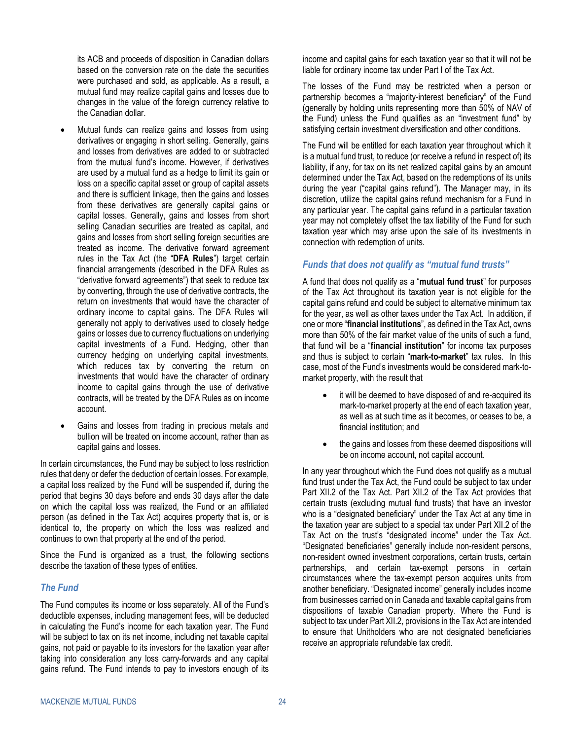its ACB and proceeds of disposition in Canadian dollars based on the conversion rate on the date the securities were purchased and sold, as applicable. As a result, a mutual fund may realize capital gains and losses due to changes in the value of the foreign currency relative to the Canadian dollar.

- Mutual funds can realize gains and losses from using derivatives or engaging in short selling. Generally, gains and losses from derivatives are added to or subtracted from the mutual fund's income. However, if derivatives are used by a mutual fund as a hedge to limit its gain or loss on a specific capital asset or group of capital assets and there is sufficient linkage, then the gains and losses from these derivatives are generally capital gains or capital losses. Generally, gains and losses from short selling Canadian securities are treated as capital, and gains and losses from short selling foreign securities are treated as income. The derivative forward agreement rules in the Tax Act (the "**DFA Rules**") target certain financial arrangements (described in the DFA Rules as "derivative forward agreements") that seek to reduce tax by converting, through the use of derivative contracts, the return on investments that would have the character of ordinary income to capital gains. The DFA Rules will generally not apply to derivatives used to closely hedge gains or losses due to currency fluctuations on underlying capital investments of a Fund. Hedging, other than currency hedging on underlying capital investments, which reduces tax by converting the return on investments that would have the character of ordinary income to capital gains through the use of derivative contracts, will be treated by the DFA Rules as on income account.
- Gains and losses from trading in precious metals and bullion will be treated on income account, rather than as capital gains and losses.

In certain circumstances, the Fund may be subject to loss restriction rules that deny or defer the deduction of certain losses. For example, a capital loss realized by the Fund will be suspended if, during the period that begins 30 days before and ends 30 days after the date on which the capital loss was realized, the Fund or an affiliated person (as defined in the Tax Act) acquires property that is, or is identical to, the property on which the loss was realized and continues to own that property at the end of the period.

Since the Fund is organized as a trust, the following sections describe the taxation of these types of entities.

### *The Fund*

The Fund computes its income or loss separately. All of the Fund's deductible expenses, including management fees, will be deducted in calculating the Fund's income for each taxation year. The Fund will be subject to tax on its net income, including net taxable capital gains, not paid or payable to its investors for the taxation year after taking into consideration any loss carry-forwards and any capital gains refund. The Fund intends to pay to investors enough of its income and capital gains for each taxation year so that it will not be liable for ordinary income tax under Part I of the Tax Act.

The losses of the Fund may be restricted when a person or partnership becomes a "majority-interest beneficiary" of the Fund (generally by holding units representing more than 50% of NAV of the Fund) unless the Fund qualifies as an "investment fund" by satisfying certain investment diversification and other conditions.

The Fund will be entitled for each taxation year throughout which it is a mutual fund trust, to reduce (or receive a refund in respect of) its liability, if any, for tax on its net realized capital gains by an amount determined under the Tax Act, based on the redemptions of its units during the year ("capital gains refund"). The Manager may, in its discretion, utilize the capital gains refund mechanism for a Fund in any particular year. The capital gains refund in a particular taxation year may not completely offset the tax liability of the Fund for such taxation year which may arise upon the sale of its investments in connection with redemption of units.

### *Funds that does not qualify as "mutual fund trusts"*

A fund that does not qualify as a "**mutual fund trust**" for purposes of the Tax Act throughout its taxation year is not eligible for the capital gains refund and could be subject to alternative minimum tax for the year, as well as other taxes under the Tax Act. In addition, if one or more "**financial institutions**", as defined in the Tax Act, owns more than 50% of the fair market value of the units of such a fund, that fund will be a "**financial institution**" for income tax purposes and thus is subject to certain "**mark-to-market**" tax rules. In this case, most of the Fund's investments would be considered mark-tomarket property, with the result that

- it will be deemed to have disposed of and re-acquired its mark-to-market property at the end of each taxation year, as well as at such time as it becomes, or ceases to be, a financial institution; and
- the gains and losses from these deemed dispositions will be on income account, not capital account.

In any year throughout which the Fund does not qualify as a mutual fund trust under the Tax Act, the Fund could be subject to tax under Part XII.2 of the Tax Act. Part XII.2 of the Tax Act provides that certain trusts (excluding mutual fund trusts) that have an investor who is a "designated beneficiary" under the Tax Act at any time in the taxation year are subject to a special tax under Part XII.2 of the Tax Act on the trust's "designated income" under the Tax Act. "Designated beneficiaries" generally include non-resident persons, non-resident owned investment corporations, certain trusts, certain partnerships, and certain tax-exempt persons in certain circumstances where the tax-exempt person acquires units from another beneficiary. "Designated income" generally includes income from businesses carried on in Canada and taxable capital gains from dispositions of taxable Canadian property. Where the Fund is subject to tax under Part XII.2, provisions in the Tax Act are intended to ensure that Unitholders who are not designated beneficiaries receive an appropriate refundable tax credit.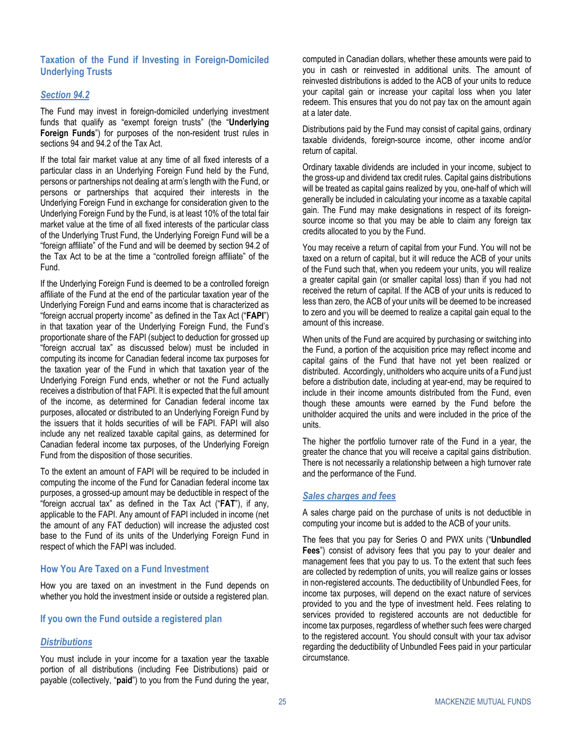### **Taxation of the Fund if Investing in Foreign-Domiciled Underlying Trusts**

### *Section 94.2*

The Fund may invest in foreign-domiciled underlying investment funds that qualify as "exempt foreign trusts" (the "**Underlying Foreign Funds**") for purposes of the non-resident trust rules in sections 94 and 94.2 of the Tax Act.

If the total fair market value at any time of all fixed interests of a particular class in an Underlying Foreign Fund held by the Fund, persons or partnerships not dealing at arm's length with the Fund, or persons or partnerships that acquired their interests in the Underlying Foreign Fund in exchange for consideration given to the Underlying Foreign Fund by the Fund, is at least 10% of the total fair market value at the time of all fixed interests of the particular class of the Underlying Trust Fund, the Underlying Foreign Fund will be a "foreign affiliate" of the Fund and will be deemed by section 94.2 of the Tax Act to be at the time a "controlled foreign affiliate" of the Fund.

If the Underlying Foreign Fund is deemed to be a controlled foreign affiliate of the Fund at the end of the particular taxation year of the Underlying Foreign Fund and earns income that is characterized as "foreign accrual property income" as defined in the Tax Act ("**FAPI**") in that taxation year of the Underlying Foreign Fund, the Fund's proportionate share of the FAPI (subject to deduction for grossed up "foreign accrual tax" as discussed below) must be included in computing its income for Canadian federal income tax purposes for the taxation year of the Fund in which that taxation year of the Underlying Foreign Fund ends, whether or not the Fund actually receives a distribution of that FAPI. It is expected that the full amount of the income, as determined for Canadian federal income tax purposes, allocated or distributed to an Underlying Foreign Fund by the issuers that it holds securities of will be FAPI. FAPI will also include any net realized taxable capital gains, as determined for Canadian federal income tax purposes, of the Underlying Foreign Fund from the disposition of those securities.

To the extent an amount of FAPI will be required to be included in computing the income of the Fund for Canadian federal income tax purposes, a grossed-up amount may be deductible in respect of the "foreign accrual tax" as defined in the Tax Act ("**FAT**"), if any, applicable to the FAPI. Any amount of FAPI included in income (net the amount of any FAT deduction) will increase the adjusted cost base to the Fund of its units of the Underlying Foreign Fund in respect of which the FAPI was included.

#### **How You Are Taxed on a Fund Investment**

How you are taxed on an investment in the Fund depends on whether you hold the investment inside or outside a registered plan.

#### **If you own the Fund outside a registered plan**

### *Distributions*

You must include in your income for a taxation year the taxable portion of all distributions (including Fee Distributions) paid or payable (collectively, "**paid**") to you from the Fund during the year,

computed in Canadian dollars, whether these amounts were paid to you in cash or reinvested in additional units. The amount of reinvested distributions is added to the ACB of your units to reduce your capital gain or increase your capital loss when you later redeem. This ensures that you do not pay tax on the amount again at a later date.

Distributions paid by the Fund may consist of capital gains, ordinary taxable dividends, foreign-source income, other income and/or return of capital.

Ordinary taxable dividends are included in your income, subject to the gross-up and dividend tax credit rules. Capital gains distributions will be treated as capital gains realized by you, one-half of which will generally be included in calculating your income as a taxable capital gain. The Fund may make designations in respect of its foreignsource income so that you may be able to claim any foreign tax credits allocated to you by the Fund.

You may receive a return of capital from your Fund. You will not be taxed on a return of capital, but it will reduce the ACB of your units of the Fund such that, when you redeem your units, you will realize a greater capital gain (or smaller capital loss) than if you had not received the return of capital. If the ACB of your units is reduced to less than zero, the ACB of your units will be deemed to be increased to zero and you will be deemed to realize a capital gain equal to the amount of this increase.

When units of the Fund are acquired by purchasing or switching into the Fund, a portion of the acquisition price may reflect income and capital gains of the Fund that have not yet been realized or distributed. Accordingly, unitholders who acquire units of a Fund just before a distribution date, including at year-end, may be required to include in their income amounts distributed from the Fund, even though these amounts were earned by the Fund before the unitholder acquired the units and were included in the price of the units.

The higher the portfolio turnover rate of the Fund in a year, the greater the chance that you will receive a capital gains distribution. There is not necessarily a relationship between a high turnover rate and the performance of the Fund.

#### *Sales charges and fees*

A sales charge paid on the purchase of units is not deductible in computing your income but is added to the ACB of your units.

The fees that you pay for Series O and PWX units ("**Unbundled Fees**") consist of advisory fees that you pay to your dealer and management fees that you pay to us. To the extent that such fees are collected by redemption of units, you will realize gains or losses in non-registered accounts. The deductibility of Unbundled Fees, for income tax purposes, will depend on the exact nature of services provided to you and the type of investment held. Fees relating to services provided to registered accounts are not deductible for income tax purposes, regardless of whether such fees were charged to the registered account. You should consult with your tax advisor regarding the deductibility of Unbundled Fees paid in your particular circumstance.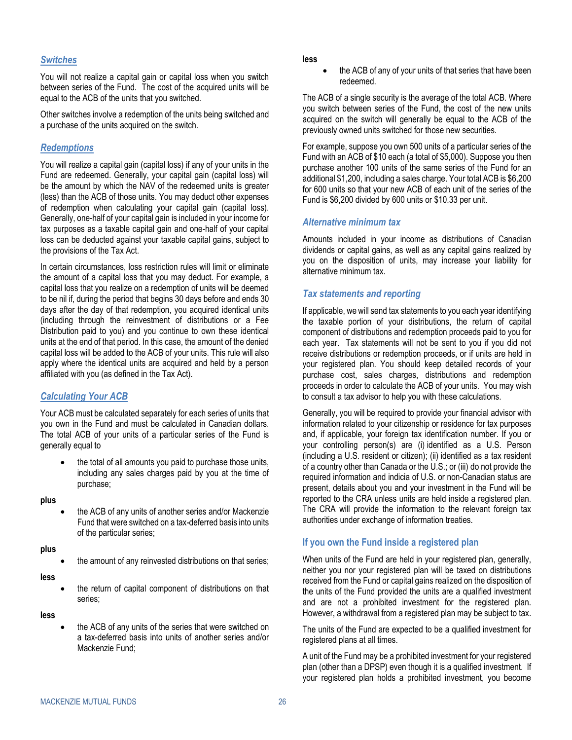#### *Switches*

You will not realize a capital gain or capital loss when you switch between series of the Fund. The cost of the acquired units will be equal to the ACB of the units that you switched.

Other switches involve a redemption of the units being switched and a purchase of the units acquired on the switch.

#### *Redemptions*

You will realize a capital gain (capital loss) if any of your units in the Fund are redeemed. Generally, your capital gain (capital loss) will be the amount by which the NAV of the redeemed units is greater (less) than the ACB of those units. You may deduct other expenses of redemption when calculating your capital gain (capital loss). Generally, one-half of your capital gain is included in your income for tax purposes as a taxable capital gain and one-half of your capital loss can be deducted against your taxable capital gains, subject to the provisions of the Tax Act.

In certain circumstances, loss restriction rules will limit or eliminate the amount of a capital loss that you may deduct. For example, a capital loss that you realize on a redemption of units will be deemed to be nil if, during the period that begins 30 days before and ends 30 days after the day of that redemption, you acquired identical units (including through the reinvestment of distributions or a Fee Distribution paid to you) and you continue to own these identical units at the end of that period. In this case, the amount of the denied capital loss will be added to the ACB of your units. This rule will also apply where the identical units are acquired and held by a person affiliated with you (as defined in the Tax Act).

### *Calculating Your ACB*

Your ACB must be calculated separately for each series of units that you own in the Fund and must be calculated in Canadian dollars. The total ACB of your units of a particular series of the Fund is generally equal to

the total of all amounts you paid to purchase those units, including any sales charges paid by you at the time of purchase;

#### **plus**

• the ACB of any units of another series and/or Mackenzie Fund that were switched on a tax-deferred basis into units of the particular series;

#### **plus**

the amount of any reinvested distributions on that series;

#### **less**

the return of capital component of distributions on that series;

#### **less**

• the ACB of any units of the series that were switched on a tax-deferred basis into units of another series and/or Mackenzie Fund;

#### **less**

• the ACB of any of your units of that series that have been redeemed.

The ACB of a single security is the average of the total ACB. Where you switch between series of the Fund, the cost of the new units acquired on the switch will generally be equal to the ACB of the previously owned units switched for those new securities.

For example, suppose you own 500 units of a particular series of the Fund with an ACB of \$10 each (a total of \$5,000). Suppose you then purchase another 100 units of the same series of the Fund for an additional \$1,200, including a sales charge. Your total ACB is \$6,200 for 600 units so that your new ACB of each unit of the series of the Fund is \$6,200 divided by 600 units or \$10.33 per unit.

#### *Alternative minimum tax*

Amounts included in your income as distributions of Canadian dividends or capital gains, as well as any capital gains realized by you on the disposition of units, may increase your liability for alternative minimum tax.

#### *Tax statements and reporting*

If applicable, we will send tax statements to you each year identifying the taxable portion of your distributions, the return of capital component of distributions and redemption proceeds paid to you for each year. Tax statements will not be sent to you if you did not receive distributions or redemption proceeds, or if units are held in your registered plan. You should keep detailed records of your purchase cost, sales charges, distributions and redemption proceeds in order to calculate the ACB of your units. You may wish to consult a tax advisor to help you with these calculations.

Generally, you will be required to provide your financial advisor with information related to your citizenship or residence for tax purposes and, if applicable, your foreign tax identification number. If you or your controlling person(s) are (i) identified as a U.S. Person (including a U.S. resident or citizen); (ii) identified as a tax resident of a country other than Canada or the U.S.; or (iii) do not provide the required information and indicia of U.S. or non-Canadian status are present, details about you and your investment in the Fund will be reported to the CRA unless units are held inside a registered plan. The CRA will provide the information to the relevant foreign tax authorities under exchange of information treaties.

### **If you own the Fund inside a registered plan**

When units of the Fund are held in your registered plan, generally, neither you nor your registered plan will be taxed on distributions received from the Fund or capital gains realized on the disposition of the units of the Fund provided the units are a qualified investment and are not a prohibited investment for the registered plan. However, a withdrawal from a registered plan may be subject to tax.

The units of the Fund are expected to be a qualified investment for registered plans at all times.

A unit of the Fund may be a prohibited investment for your registered plan (other than a DPSP) even though it is a qualified investment. If your registered plan holds a prohibited investment, you become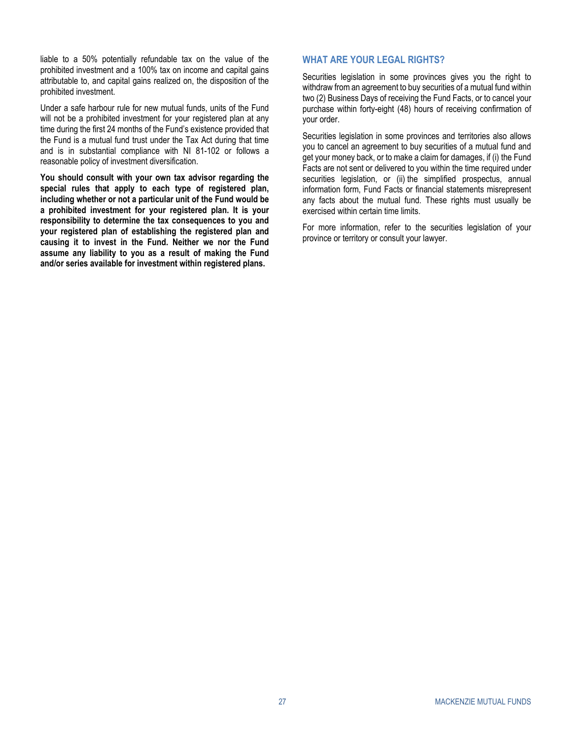liable to a 50% potentially refundable tax on the value of the prohibited investment and a 100% tax on income and capital gains attributable to, and capital gains realized on, the disposition of the prohibited investment.

Under a safe harbour rule for new mutual funds, units of the Fund will not be a prohibited investment for your registered plan at any time during the first 24 months of the Fund's existence provided that the Fund is a mutual fund trust under the Tax Act during that time and is in substantial compliance with NI 81-102 or follows a reasonable policy of investment diversification.

**You should consult with your own tax advisor regarding the special rules that apply to each type of registered plan, including whether or not a particular unit of the Fund would be a prohibited investment for your registered plan. It is your responsibility to determine the tax consequences to you and your registered plan of establishing the registered plan and causing it to invest in the Fund. Neither we nor the Fund assume any liability to you as a result of making the Fund and/or series available for investment within registered plans.**

### <span id="page-30-0"></span>**WHAT ARE YOUR LEGAL RIGHTS?**

Securities legislation in some provinces gives you the right to withdraw from an agreement to buy securities of a mutual fund within two (2) Business Days of receiving the Fund Facts, or to cancel your purchase within forty-eight (48) hours of receiving confirmation of your order.

Securities legislation in some provinces and territories also allows you to cancel an agreement to buy securities of a mutual fund and get your money back, or to make a claim for damages, if (i) the Fund Facts are not sent or delivered to you within the time required under securities legislation, or (ii) the simplified prospectus, annual information form, Fund Facts or financial statements misrepresent any facts about the mutual fund. These rights must usually be exercised within certain time limits.

<span id="page-30-1"></span>For more information, refer to the securities legislation of your province or territory or consult your lawyer.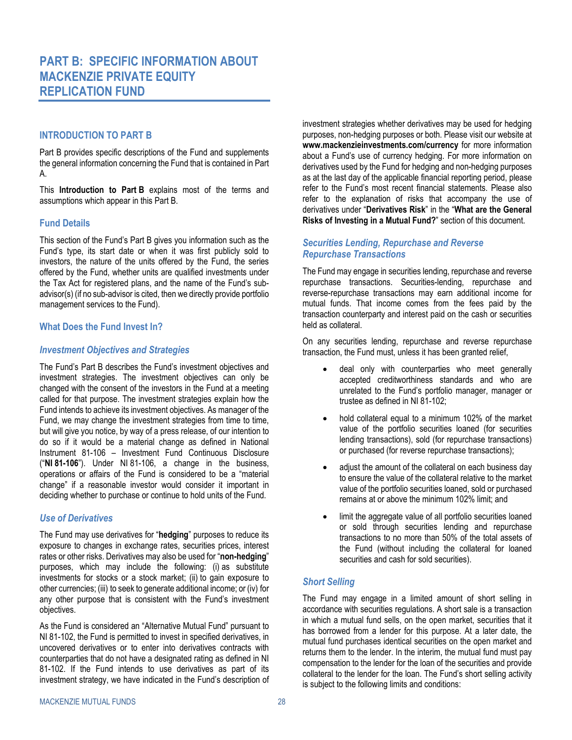## <span id="page-31-0"></span>**PART B: SPECIFIC INFORMATION ABOUT MACKENZIE PRIVATE EQUITY REPLICATION FUND**

### <span id="page-31-2"></span><span id="page-31-1"></span>**INTRODUCTION TO PART B**

Part B provides specific descriptions of the Fund and supplements the general information concerning the Fund that is contained in [Part](#page-4-0)  [A.](#page-4-0)

This **[Introduction to Part](#page-31-1) B** explains most of the terms and assumptions which appear in this [Part B.](#page-31-0)

### <span id="page-31-3"></span>**Fund Details**

This section of the Fund's [Part B](#page-31-0) gives you information such as the Fund's type, its start date or when it was first publicly sold to investors, the nature of the units offered by the Fund, the series offered by the Fund, whether units are qualified investments under the Tax Act for registered plans, and the name of the Fund's subadvisor(s) (if no sub-advisor is cited, then we directly provide portfolio management services to the Fund).

### <span id="page-31-4"></span>**What Does the Fund Invest In?**

### *Investment Objectives and Strategies*

The Fund's Part B describes the Fund's investment objectives and investment strategies. The investment objectives can only be changed with the consent of the investors in the Fund at a meeting called for that purpose. The investment strategies explain how the Fund intends to achieve its investment objectives. As manager of the Fund, we may change the investment strategies from time to time, but will give you notice, by way of a press release, of our intention to do so if it would be a material change as defined in National Instrument 81-106 – Investment Fund Continuous Disclosure ("**NI 81-106**"). Under NI 81-106, a change in the business, operations or affairs of the Fund is considered to be a "material change" if a reasonable investor would consider it important in deciding whether to purchase or continue to hold units of the Fund.

### *Use of Derivatives*

The Fund may use derivatives for "**hedging**" purposes to reduce its exposure to changes in exchange rates, securities prices, interest rates or other risks. Derivatives may also be used for "**non-hedging**" purposes, which may include the following: (i) as substitute investments for stocks or a stock market; (ii) to gain exposure to other currencies; (iii) to seek to generate additional income; or (iv) for any other purpose that is consistent with the Fund's investment objectives.

As the Fund is considered an "Alternative Mutual Fund" pursuant to NI 81-102, the Fund is permitted to invest in specified derivatives, in uncovered derivatives or to enter into derivatives contracts with counterparties that do not have a designated rating as defined in NI 81-102. If the Fund intends to use derivatives as part of its investment strategy, we have indicated in the Fund's description of investment strategies whether derivatives may be used for hedging purposes, non-hedging purposes or both. Please visit our website at **www.mackenzieinvestments.com/currency** for more information about a Fund's use of currency hedging. For more information on derivatives used by the Fund for hedging and non-hedging purposes as at the last day of the applicable financial reporting period, please refer to the Fund's most recent financial statements. Please also refer to the explanation of risks that accompany the use of derivatives under "**[Derivatives Risk](#page-6-0)**" in the "**What are the [General](#page-4-3) Risks of [Investing](#page-4-3) in a Mutual Fund?**" section of this document.

### *Securities Lending, Repurchase and Reverse Repurchase Transactions*

The Fund may engage in securities lending, repurchase and reverse repurchase transactions. Securities-lending, repurchase and reverse-repurchase transactions may earn additional income for mutual funds. That income comes from the fees paid by the transaction counterparty and interest paid on the cash or securities held as collateral.

On any securities lending, repurchase and reverse repurchase transaction, the Fund must, unless it has been granted relief,

- deal only with counterparties who meet generally accepted creditworthiness standards and who are unrelated to the Fund's portfolio manager, manager or trustee as defined in NI 81-102;
- hold collateral equal to a minimum 102% of the market value of the portfolio securities loaned (for securities lending transactions), sold (for repurchase transactions) or purchased (for reverse repurchase transactions);
- adjust the amount of the collateral on each business day to ensure the value of the collateral relative to the market value of the portfolio securities loaned, sold or purchased remains at or above the minimum 102% limit; and
- limit the aggregate value of all portfolio securities loaned or sold through securities lending and repurchase transactions to no more than 50% of the total assets of the Fund (without including the collateral for loaned securities and cash for sold securities).

### *Short Selling*

The Fund may engage in a limited amount of short selling in accordance with securities regulations. A short sale is a transaction in which a mutual fund sells, on the open market, securities that it has borrowed from a lender for this purpose. At a later date, the mutual fund purchases identical securities on the open market and returns them to the lender. In the interim, the mutual fund must pay compensation to the lender for the loan of the securities and provide collateral to the lender for the loan. The Fund's short selling activity is subject to the following limits and conditions: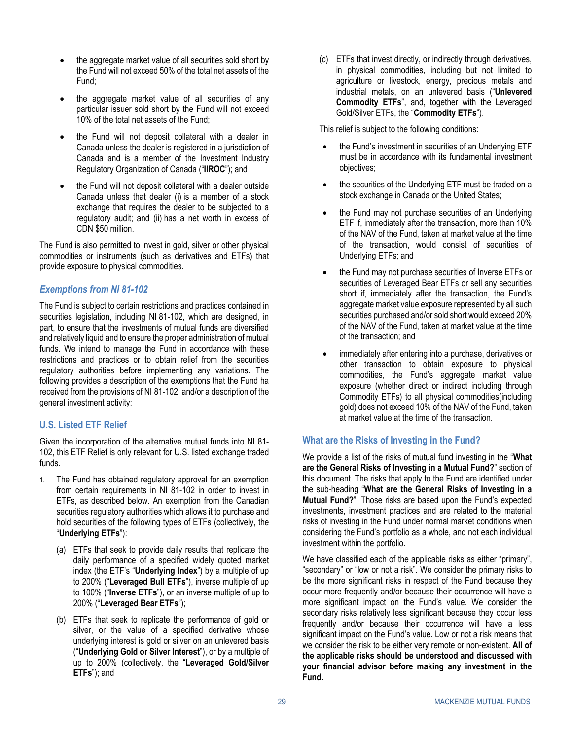- the aggregate market value of all securities sold short by the Fund will not exceed 50% of the total net assets of the Fund;
- the aggregate market value of all securities of any particular issuer sold short by the Fund will not exceed 10% of the total net assets of the Fund;
- the Fund will not deposit collateral with a dealer in Canada unless the dealer is registered in a jurisdiction of Canada and is a member of the Investment Industry Regulatory Organization of Canada ("**IIROC**"); and
- the Fund will not deposit collateral with a dealer outside Canada unless that dealer (i) is a member of a stock exchange that requires the dealer to be subjected to a regulatory audit; and (ii) has a net worth in excess of CDN \$50 million.

The Fund is also permitted to invest in gold, silver or other physical commodities or instruments (such as derivatives and ETFs) that provide exposure to physical commodities.

### *Exemptions from NI 81-102*

The Fund is subject to certain restrictions and practices contained in securities legislation, including NI 81-102, which are designed, in part, to ensure that the investments of mutual funds are diversified and relatively liquid and to ensure the proper administration of mutual funds. We intend to manage the Fund in accordance with these restrictions and practices or to obtain relief from the securities regulatory authorities before implementing any variations. The following provides a description of the exemptions that the Fund ha received from the provisions of NI 81-102, and/or a description of the general investment activity:

### **U.S. Listed ETF Relief**

Given the incorporation of the alternative mutual funds into NI 81- 102, this ETF Relief is only relevant for U.S. listed exchange traded funds.

- 1. The Fund has obtained regulatory approval for an exemption from certain requirements in NI 81-102 in order to invest in ETFs, as described below. An exemption from the Canadian securities regulatory authorities which allows it to purchase and hold securities of the following types of ETFs (collectively, the "**Underlying ETFs**"):
	- (a) ETFs that seek to provide daily results that replicate the daily performance of a specified widely quoted market index (the ETF's "**Underlying Index**") by a multiple of up to 200% ("**Leveraged Bull ETFs**"), inverse multiple of up to 100% ("**Inverse ETFs**"), or an inverse multiple of up to 200% ("**Leveraged Bear ETFs**");
	- (b) ETFs that seek to replicate the performance of gold or silver, or the value of a specified derivative whose underlying interest is gold or silver on an unlevered basis ("**Underlying Gold or Silver Interest**"), or by a multiple of up to 200% (collectively, the "**Leveraged Gold/Silver ETFs**"); and

(c) ETFs that invest directly, or indirectly through derivatives, in physical commodities, including but not limited to agriculture or livestock, energy, precious metals and industrial metals, on an unlevered basis ("**Unlevered Commodity ETFs**", and, together with the Leveraged Gold/Silver ETFs, the "**Commodity ETFs**").

This relief is subject to the following conditions:

- the Fund's investment in securities of an Underlying ETF must be in accordance with its fundamental investment objectives;
- the securities of the Underlying ETF must be traded on a stock exchange in Canada or the United States;
- the Fund may not purchase securities of an Underlying ETF if, immediately after the transaction, more than 10% of the NAV of the Fund, taken at market value at the time of the transaction, would consist of securities of Underlying ETFs; and
- the Fund may not purchase securities of Inverse ETFs or securities of Leveraged Bear ETFs or sell any securities short if, immediately after the transaction, the Fund's aggregate market value exposure represented by all such securities purchased and/or sold short would exceed 20% of the NAV of the Fund, taken at market value at the time of the transaction; and
- immediately after entering into a purchase, derivatives or other transaction to obtain exposure to physical commodities, the Fund's aggregate market value exposure (whether direct or indirect including through Commodity ETFs) to all physical commodities(including gold) does not exceed 10% of the NAV of the Fund, taken at market value at the time of the transaction.

### <span id="page-32-0"></span>**What are the Risks of Investing in the Fund?**

We provide a list of the risks of mutual fund investing in the "**[What](#page-4-3) are the General Risks of [Investing](#page-4-3) in a Mutual Fund?**" section of this document. The risks that apply to the Fund are identified under the sub-heading "**What are the General Risks of [Investing](#page-4-3) in a [Mutual](#page-4-3) Fund?**". Those risks are based upon the Fund's expected investments, investment practices and are related to the material risks of investing in the Fund under normal market conditions when considering the Fund's portfolio as a whole, and not each individual investment within the portfolio.

We have classified each of the applicable risks as either "primary", "secondary" or "low or not a risk". We consider the primary risks to be the more significant risks in respect of the Fund because they occur more frequently and/or because their occurrence will have a more significant impact on the Fund's value. We consider the secondary risks relatively less significant because they occur less frequently and/or because their occurrence will have a less significant impact on the Fund's value. Low or not a risk means that we consider the risk to be either very remote or non-existent. **All of the applicable risks should be understood and discussed with your financial advisor before making any investment in the Fund.**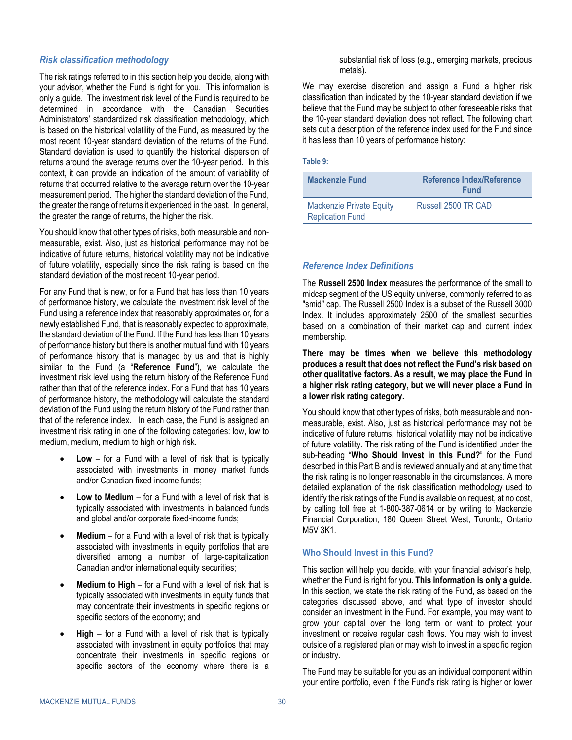#### *Risk classification methodology*

The risk ratings referred to in this section help you decide, along with your advisor, whether the Fund is right for you. This information is only a guide. The investment risk level of the Fund is required to be determined in accordance with the Canadian Securities Administrators' standardized risk classification methodology, which is based on the historical volatility of the Fund, as measured by the most recent 10-year standard deviation of the returns of the Fund. Standard deviation is used to quantify the historical dispersion of returns around the average returns over the 10-year period. In this context, it can provide an indication of the amount of variability of returns that occurred relative to the average return over the 10-year measurement period. The higher the standard deviation of the Fund, the greater the range of returns it experienced in the past. In general, the greater the range of returns, the higher the risk.

You should know that other types of risks, both measurable and nonmeasurable, exist. Also, just as historical performance may not be indicative of future returns, historical volatility may not be indicative of future volatility, especially since the risk rating is based on the standard deviation of the most recent 10-year period.

For any Fund that is new, or for a Fund that has less than 10 years of performance history, we calculate the investment risk level of the Fund using a reference index that reasonably approximates or, for a newly established Fund, that is reasonably expected to approximate, the standard deviation of the Fund. If the Fund has less than 10 years of performance history but there is another mutual fund with 10 years of performance history that is managed by us and that is highly similar to the Fund (a "**Reference Fund**"), we calculate the investment risk level using the return history of the Reference Fund rather than that of the reference index. For a Fund that has 10 years of performance history, the methodology will calculate the standard deviation of the Fund using the return history of the Fund rather than that of the reference index. In each case, the Fund is assigned an investment risk rating in one of the following categories: low, low to medium, medium, medium to high or high risk.

- **Low** for a Fund with a level of risk that is typically associated with investments in money market funds and/or Canadian fixed-income funds;
- **Low to Medium** for a Fund with a level of risk that is typically associated with investments in balanced funds and global and/or corporate fixed-income funds;
- **Medium** for a Fund with a level of risk that is typically associated with investments in equity portfolios that are diversified among a number of large-capitalization Canadian and/or international equity securities;
- **Medium to High** for a Fund with a level of risk that is typically associated with investments in equity funds that may concentrate their investments in specific regions or specific sectors of the economy; and
- **High** for a Fund with a level of risk that is typically associated with investment in equity portfolios that may concentrate their investments in specific regions or specific sectors of the economy where there is a

substantial risk of loss (e.g., emerging markets, precious metals).

We may exercise discretion and assign a Fund a higher risk classification than indicated by the 10-year standard deviation if we believe that the Fund may be subject to other foreseeable risks that the 10-year standard deviation does not reflect. The following chart sets out a description of the reference index used for the Fund since it has less than 10 years of performance history:

#### **Table 9:**

| <b>Mackenzie Fund</b>                                      | <b>Reference Index/Reference</b><br><b>Fund</b> |
|------------------------------------------------------------|-------------------------------------------------|
| <b>Mackenzie Private Equity</b><br><b>Replication Fund</b> | Russell 2500 TR CAD                             |

### *Reference Index Definitions*

The **Russell 2500 Index** measures the performance of the small to midcap segment of the US equity universe, commonly referred to as "smid" cap. The Russell 2500 Index is a subset of the Russell 3000 Index. It includes approximately 2500 of the smallest securities based on a combination of their market cap and current index membership.

**There may be times when we believe this methodology produces a result that does not reflect the Fund's risk based on other qualitative factors. As a result, we may place the Fund in a higher risk rating category, but we will never place a Fund in a lower risk rating category.**

You should know that other types of risks, both measurable and nonmeasurable, exist. Also, just as historical performance may not be indicative of future returns, historical volatility may not be indicative of future volatility. The risk rating of the Fund is identified under the sub-heading "**[Who Should Invest in this Fund?](#page-33-0)**" for the Fund described in thi[s Part B](#page-31-0) and is reviewed annually and at any time that the risk rating is no longer reasonable in the circumstances. A more detailed explanation of the risk classification methodology used to identify the risk ratings of the Fund is available on request, at no cost, by calling toll free at 1-800-387-0614 or by writing to Mackenzie Financial Corporation, 180 Queen Street West, Toronto, Ontario M5V 3K1.

### <span id="page-33-0"></span>**Who Should Invest in this Fund?**

This section will help you decide, with your financial advisor's help, whether the Fund is right for you. **This information is only a guide.** In this section, we state the risk rating of the Fund, as based on the categories discussed above, and what type of investor should consider an investment in the Fund. For example, you may want to grow your capital over the long term or want to protect your investment or receive regular cash flows. You may wish to invest outside of a registered plan or may wish to invest in a specific region or industry.

The Fund may be suitable for you as an individual component within your entire portfolio, even if the Fund's risk rating is higher or lower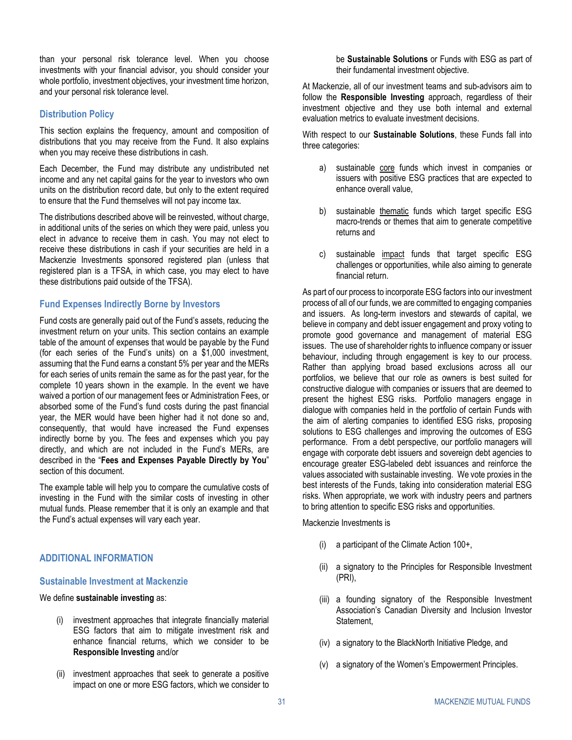than your personal risk tolerance level. When you choose investments with your financial advisor, you should consider your whole portfolio, investment objectives, your investment time horizon, and your personal risk tolerance level.

### <span id="page-34-0"></span>**Distribution Policy**

This section explains the frequency, amount and composition of distributions that you may receive from the Fund. It also explains when you may receive these distributions in cash.

Each December, the Fund may distribute any undistributed net income and any net capital gains for the year to investors who own units on the distribution record date, but only to the extent required to ensure that the Fund themselves will not pay income tax.

The distributions described above will be reinvested, without charge, in additional units of the series on which they were paid, unless you elect in advance to receive them in cash. You may not elect to receive these distributions in cash if your securities are held in a Mackenzie Investments sponsored registered plan (unless that registered plan is a TFSA, in which case, you may elect to have these distributions paid outside of the TFSA).

### **Fund Expenses Indirectly Borne by Investors**

Fund costs are generally paid out of the Fund's assets, reducing the investment return on your units. This section contains an example table of the amount of expenses that would be payable by the Fund (for each series of the Fund's units) on a \$1,000 investment, assuming that the Fund earns a constant 5% per year and the MERs for each series of units remain the same as for the past year, for the complete 10 years shown in the example. In the event we have waived a portion of our management fees or Administration Fees, or absorbed some of the Fund's fund costs during the past financial year, the MER would have been higher had it not done so and, consequently, that would have increased the Fund expenses indirectly borne by you. The fees and expenses which you pay directly, and which are not included in the Fund's MERs, are described in the "**Fees and [Expenses](#page-23-0) Payable Directly by You**" section of this document.

The example table will help you to compare the cumulative costs of investing in the Fund with the similar costs of investing in other mutual funds. Please remember that it is only an example and that the Fund's actual expenses will vary each year.

#### **ADDITIONAL INFORMATION**

#### **Sustainable Investment at Mackenzie**

#### We define **sustainable investing** as:

- (i) investment approaches that integrate financially material ESG factors that aim to mitigate investment risk and enhance financial returns, which we consider to be **Responsible Investing** and/or
- (ii) investment approaches that seek to generate a positive impact on one or more ESG factors, which we consider to

be **Sustainable Solutions** or Funds with ESG as part of their fundamental investment objective.

At Mackenzie, all of our investment teams and sub-advisors aim to follow the **Responsible Investing** approach, regardless of their investment objective and they use both internal and external evaluation metrics to evaluate investment decisions.

With respect to our **Sustainable Solutions**, these Funds fall into three categories:

- a) sustainable core funds which invest in companies or issuers with positive ESG practices that are expected to enhance overall value,
- b) sustainable thematic funds which target specific ESG macro-trends or themes that aim to generate competitive returns and
- c) sustainable impact funds that target specific ESG challenges or opportunities, while also aiming to generate financial return.

As part of our process to incorporate ESG factors into our investment process of all of our funds, we are committed to engaging companies and issuers. As long-term investors and stewards of capital, we believe in company and debt issuer engagement and proxy voting to promote good governance and management of material ESG issues. The use of shareholder rights to influence company or issuer behaviour, including through engagement is key to our process. Rather than applying broad based exclusions across all our portfolios, we believe that our role as owners is best suited for constructive dialogue with companies or issuers that are deemed to present the highest ESG risks. Portfolio managers engage in dialogue with companies held in the portfolio of certain Funds with the aim of alerting companies to identified ESG risks, proposing solutions to ESG challenges and improving the outcomes of ESG performance. From a debt perspective, our portfolio managers will engage with corporate debt issuers and sovereign debt agencies to encourage greater ESG-labeled debt issuances and reinforce the values associated with sustainable investing. We vote proxies in the best interests of the Funds, taking into consideration material ESG risks. When appropriate, we work with industry peers and partners to bring attention to specific ESG risks and opportunities.

Mackenzie Investments is

- (i) a participant of the Climate Action 100+,
- (ii) a signatory to the Principles for Responsible Investment (PRI),
- (iii) a founding signatory of the Responsible Investment Association's Canadian Diversity and Inclusion Investor Statement,
- (iv) a signatory to the BlackNorth Initiative Pledge, and
- (v) a signatory of the Women's Empowerment Principles.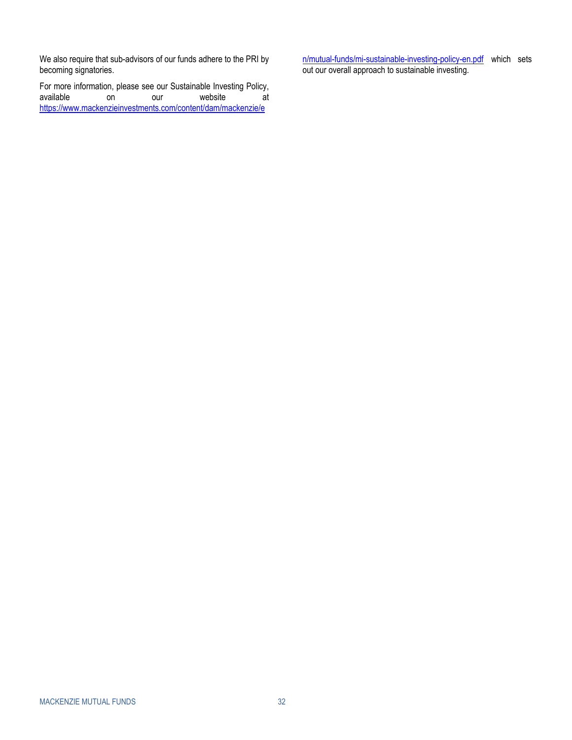We also require that sub-advisors of our funds adhere to the PRI by becoming signatories.

For more information, please see our Sustainable Investing Policy,<br>available on our website at available on our website at [https://www.mackenzieinvestments.com/content/dam/mackenzie/e](https://can01.safelinks.protection.outlook.com/?url=https%3A%2F%2Fwww.mackenzieinvestments.com%2Fcontent%2Fdam%2Fmackenzie%2Fen%2Fmutual-funds%2Fmi-sustainable-investing-policy-en.pdf&data=04%7C01%7Cjbarsky%40mackenzieinvestments.com%7C5c6700ed72fd4490316008d97df470de%7Cdc411c631f524491bb51c4d215a1de23%7C0%7C0%7C637679311079708258%7CUnknown%7CTWFpbGZsb3d8eyJWIjoiMC4wLjAwMDAiLCJQIjoiV2luMzIiLCJBTiI6Ik1haWwiLCJXVCI6Mn0%3D%7C1000&sdata=DOyCQ8%2FfX4qfZZ5xVfI2AU05%2F%2FPbJ7gjf%2BLuEgWebUA%3D&reserved=0)

[n/mutual-funds/mi-sustainable-investing-policy-en.pdf](https://can01.safelinks.protection.outlook.com/?url=https%3A%2F%2Fwww.mackenzieinvestments.com%2Fcontent%2Fdam%2Fmackenzie%2Fen%2Fmutual-funds%2Fmi-sustainable-investing-policy-en.pdf&data=04%7C01%7Cjbarsky%40mackenzieinvestments.com%7C5c6700ed72fd4490316008d97df470de%7Cdc411c631f524491bb51c4d215a1de23%7C0%7C0%7C637679311079708258%7CUnknown%7CTWFpbGZsb3d8eyJWIjoiMC4wLjAwMDAiLCJQIjoiV2luMzIiLCJBTiI6Ik1haWwiLCJXVCI6Mn0%3D%7C1000&sdata=DOyCQ8%2FfX4qfZZ5xVfI2AU05%2F%2FPbJ7gjf%2BLuEgWebUA%3D&reserved=0) which sets out our overall approach to sustainable investing.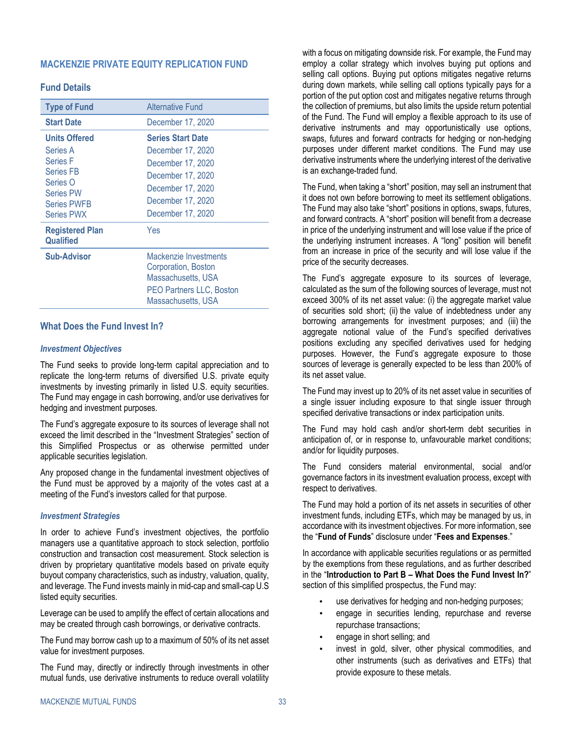### <span id="page-36-0"></span>**MACKENZIE PRIVATE EQUITY REPLICATION FUND**

### **Fund Details**

| <b>Type of Fund</b>                                                                                                                                | <b>Alternative Fund</b>                                                                                                                                |
|----------------------------------------------------------------------------------------------------------------------------------------------------|--------------------------------------------------------------------------------------------------------------------------------------------------------|
| <b>Start Date</b>                                                                                                                                  | December 17, 2020                                                                                                                                      |
| <b>Units Offered</b><br>Series A<br><b>Series F</b><br><b>Series FB</b><br>Series O<br><b>Series PW</b><br><b>Series PWFB</b><br><b>Series PWX</b> | <b>Series Start Date</b><br>December 17, 2020<br>December 17, 2020<br>December 17, 2020<br>December 17, 2020<br>December 17, 2020<br>December 17, 2020 |
| <b>Registered Plan</b><br>Qualified                                                                                                                | Yes                                                                                                                                                    |
| <b>Sub-Advisor</b>                                                                                                                                 | Mackenzie Investments<br>Corporation, Boston<br>Massachusetts, USA<br><b>PEO Partners LLC, Boston</b><br>Massachusetts, USA                            |

### **What Does the Fund Invest In?**

#### *Investment Objectives*

The Fund seeks to provide long-term capital appreciation and to replicate the long-term returns of diversified U.S. private equity investments by investing primarily in listed U.S. equity securities. The Fund may engage in cash borrowing, and/or use derivatives for hedging and investment purposes.

The Fund's aggregate exposure to its sources of leverage shall not exceed the limit described in the "Investment Strategies" section of this Simplified Prospectus or as otherwise permitted under applicable securities legislation.

Any proposed change in the fundamental investment objectives of the Fund must be approved by a majority of the votes cast at a meeting of the Fund's investors called for that purpose.

#### *Investment Strategies*

In order to achieve Fund's investment objectives, the portfolio managers use a quantitative approach to stock selection, portfolio construction and transaction cost measurement. Stock selection is driven by proprietary quantitative models based on private equity buyout company characteristics, such as industry, valuation, quality, and leverage. The Fund invests mainly in mid-cap and small-cap U.S listed equity securities.

Leverage can be used to amplify the effect of certain allocations and may be created through cash borrowings, or derivative contracts.

The Fund may borrow cash up to a maximum of 50% of its net asset value for investment purposes.

The Fund may, directly or indirectly through investments in other mutual funds, use derivative instruments to reduce overall volatility

with a focus on mitigating downside risk. For example, the Fund may employ a collar strategy which involves buying put options and selling call options. Buying put options mitigates negative returns during down markets, while selling call options typically pays for a portion of the put option cost and mitigates negative returns through the collection of premiums, but also limits the upside return potential of the Fund. The Fund will employ a flexible approach to its use of derivative instruments and may opportunistically use options, swaps, futures and forward contracts for hedging or non-hedging purposes under different market conditions. The Fund may use derivative instruments where the underlying interest of the derivative is an exchange-traded fund.

The Fund, when taking a "short" position, may sell an instrument that it does not own before borrowing to meet its settlement obligations. The Fund may also take "short" positions in options, swaps, futures, and forward contracts. A "short" position will benefit from a decrease in price of the underlying instrument and will lose value if the price of the underlying instrument increases. A "long" position will benefit from an increase in price of the security and will lose value if the price of the security decreases.

The Fund's aggregate exposure to its sources of leverage, calculated as the sum of the following sources of leverage, must not exceed 300% of its net asset value: (i) the aggregate market value of securities sold short; (ii) the value of indebtedness under any borrowing arrangements for investment purposes; and (iii) the aggregate notional value of the Fund's specified derivatives positions excluding any specified derivatives used for hedging purposes. However, the Fund's aggregate exposure to those sources of leverage is generally expected to be less than 200% of its net asset value.

The Fund may invest up to 20% of its net asset value in securities of a single issuer including exposure to that single issuer through specified derivative transactions or index participation units.

The Fund may hold cash and/or short-term debt securities in anticipation of, or in response to, unfavourable market conditions; and/or for liquidity purposes.

The Fund considers material environmental, social and/or governance factors in its investment evaluation process, except with respect to derivatives.

The Fund may hold a portion of its net assets in securities of other investment funds, including ETFs, which may be managed by us, in accordance with its investment objectives. For more information, see the "**[Fund of Funds](#page-23-1)**" disclosure under "**Fees and [Expenses](#page-19-0)**."

In accordance with applicable securities regulations or as permitted by the exemptions from these regulations, and as further described in the "**[Introduction to Part](#page-31-1) B – [What Does the Fund Invest In?](#page-31-4)**" section of this simplified prospectus, the Fund may:

- use derivatives for hedging and non-hedging purposes;
- engage in securities lending, repurchase and reverse repurchase transactions;
- engage in short selling; and
- invest in gold, silver, other physical commodities, and other instruments (such as derivatives and ETFs) that provide exposure to these metals.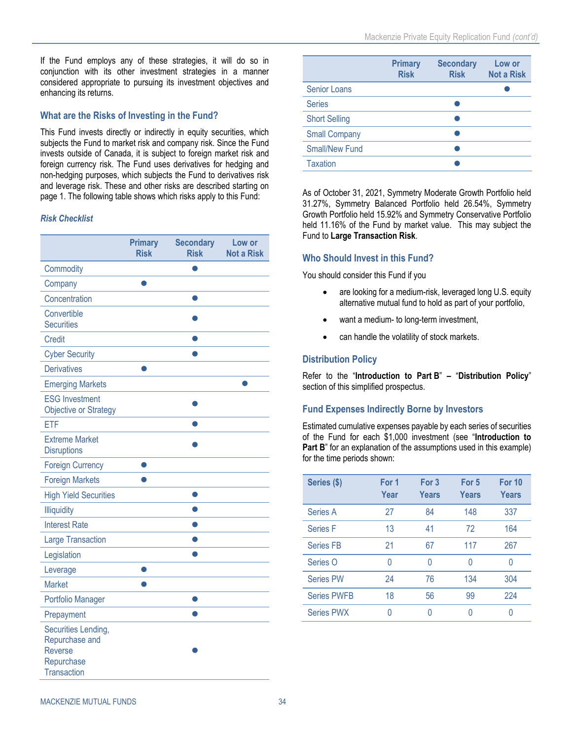<span id="page-37-0"></span>If the Fund employs any of these strategies, it will do so in conjunction with its other investment strategies in a manner considered appropriate to pursuing its investment objectives and enhancing its returns.

### **What are the Risks of Investing in the Fund?**

This Fund invests directly or indirectly in equity securities, which subjects the Fund to market risk and company risk. Since the Fund invests outside of Canada, it is subject to foreign market risk and foreign currency risk. The Fund uses derivatives for hedging and non-hedging purposes, which subjects the Fund to derivatives risk and leverage risk. These and other risks are described starting on page [1.](#page-4-3) The following table shows which risks apply to this Fund:

#### *Risk Checklist*

|                                                                                             | <b>Primary</b><br><b>Risk</b> | <b>Secondary</b><br><b>Risk</b> | Low or<br><b>Not a Risk</b> |
|---------------------------------------------------------------------------------------------|-------------------------------|---------------------------------|-----------------------------|
| Commodity                                                                                   |                               | Ω                               |                             |
| Company                                                                                     |                               |                                 |                             |
| Concentration                                                                               |                               | ●                               |                             |
| Convertible<br><b>Securities</b>                                                            |                               |                                 |                             |
| <b>Credit</b>                                                                               |                               |                                 |                             |
| <b>Cyber Security</b>                                                                       |                               |                                 |                             |
| <b>Derivatives</b>                                                                          |                               |                                 |                             |
| <b>Emerging Markets</b>                                                                     |                               |                                 |                             |
| <b>ESG Investment</b><br><b>Objective or Strategy</b>                                       |                               |                                 |                             |
| ETF                                                                                         |                               |                                 |                             |
| <b>Extreme Market</b><br><b>Disruptions</b>                                                 |                               |                                 |                             |
| <b>Foreign Currency</b>                                                                     |                               |                                 |                             |
| <b>Foreign Markets</b>                                                                      |                               |                                 |                             |
| <b>High Yield Securities</b>                                                                |                               |                                 |                             |
| Illiquidity                                                                                 |                               |                                 |                             |
| <b>Interest Rate</b>                                                                        |                               |                                 |                             |
| <b>Large Transaction</b>                                                                    |                               |                                 |                             |
| Legislation                                                                                 |                               |                                 |                             |
| Leverage                                                                                    |                               |                                 |                             |
| <b>Market</b>                                                                               |                               |                                 |                             |
| Portfolio Manager                                                                           |                               |                                 |                             |
| Prepayment                                                                                  |                               |                                 |                             |
| Securities Lending,<br>Repurchase and<br><b>Reverse</b><br>Repurchase<br><b>Transaction</b> |                               |                                 |                             |

|                       | <b>Primary</b><br><b>Risk</b> | <b>Secondary</b><br><b>Risk</b> | Low or<br><b>Not a Risk</b> |
|-----------------------|-------------------------------|---------------------------------|-----------------------------|
| <b>Senior Loans</b>   |                               |                                 |                             |
| <b>Series</b>         |                               |                                 |                             |
| <b>Short Selling</b>  |                               |                                 |                             |
| <b>Small Company</b>  |                               |                                 |                             |
| <b>Small/New Fund</b> |                               |                                 |                             |
| <b>Taxation</b>       |                               |                                 |                             |

As of October 31, 2021, Symmetry Moderate Growth Portfolio held 31.27%, Symmetry Balanced Portfolio held 26.54%, Symmetry Growth Portfolio held 15.92% and Symmetry Conservative Portfolio held 11.16% of the Fund by market value. This may subject the Fund to **[Large Transaction Risk](#page-9-1)**.

### **Who Should Invest in this Fund?**

You should consider this Fund if you

- are looking for a medium-risk, leveraged long U.S. equity alternative mutual fund to hold as part of your portfolio,
- want a medium- to long-term investment,
- can handle the volatility of stock markets.

### **Distribution Policy**

Refer to the "**[Introduction to Part](#page-31-1) B**" **–** "**[Distribution Policy](#page-34-0)**" section of this simplified prospectus.

### **Fund Expenses Indirectly Borne by Investors**

Estimated cumulative expenses payable by each series of securities of the Fund for each \$1,000 investment (see "**[Introduction to](#page-31-1)  [Part](#page-31-1) B**" for an explanation of the assumptions used in this example) for the time periods shown:

| Series (\$)        | For 1<br>Year | For 3<br>Years | For 5<br><b>Years</b> | For 10<br>Years |
|--------------------|---------------|----------------|-----------------------|-----------------|
| Series A           | 27            | 84             | 148                   | 337             |
| <b>Series F</b>    | 13            | 41             | 72                    | 164             |
| <b>Series FB</b>   | 21            | 67             | 117                   | 267             |
| Series O           | Ŋ             | Λ              | 0                     |                 |
| <b>Series PW</b>   | 24            | 76             | 134                   | 304             |
| <b>Series PWFB</b> | 18            | 56             | 99                    | 224             |
| <b>Series PWX</b>  |               |                | Λ                     |                 |